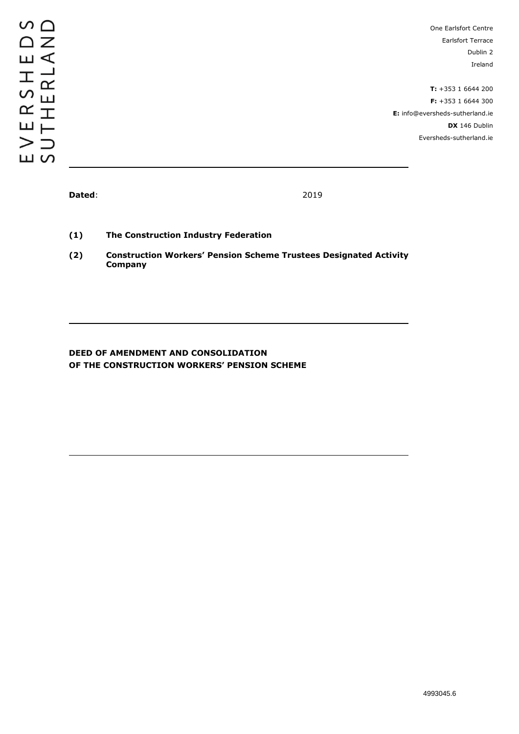One Earlsfort Centre Earlsfort Terrace Dublin 2 Ireland

**T:** +353 1 6644 200 **F:** +353 1 6644 300 **E:** info@eversheds-sutherland.ie **DX** 146 Dublin Eversheds-sutherland.ie

**Dated**: 2019

**(1) The Construction Industry Federation**

**(2) Construction Workers' Pension Scheme Trustees Designated Activity Company**

# **DEED OF AMENDMENT AND CONSOLIDATION OF THE CONSTRUCTION WORKERS' PENSION SCHEME**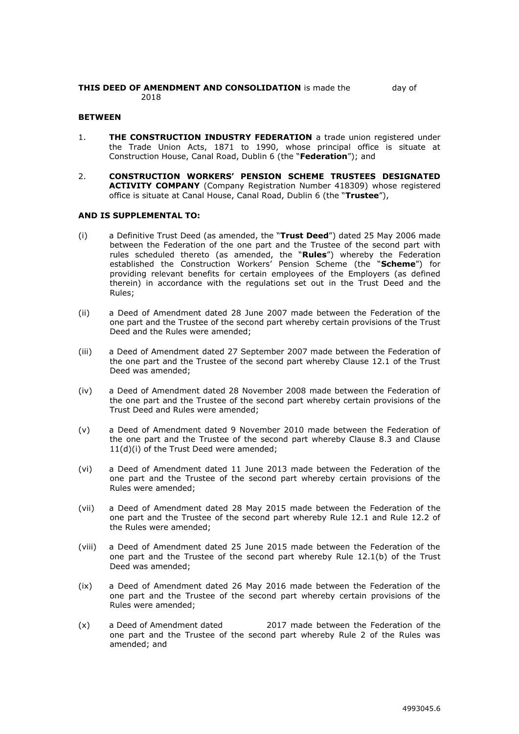#### **THIS DEED OF AMENDMENT AND CONSOLIDATION** is made the day of 2018

#### **BETWEEN**

- 1. **THE CONSTRUCTION INDUSTRY FEDERATION** a trade union registered under the Trade Union Acts, 1871 to 1990, whose principal office is situate at Construction House, Canal Road, Dublin 6 (the "**Federation**"); and
- 2. **CONSTRUCTION WORKERS' PENSION SCHEME TRUSTEES DESIGNATED ACTIVITY COMPANY** (Company Registration Number 418309) whose registered office is situate at Canal House, Canal Road, Dublin 6 (the "**Trustee**"),

#### **AND IS SUPPLEMENTAL TO:**

- (i) a Definitive Trust Deed (as amended, the "**Trust Deed**") dated 25 May 2006 made between the Federation of the one part and the Trustee of the second part with rules scheduled thereto (as amended, the "**Rules**") whereby the Federation established the Construction Workers' Pension Scheme (the "**Scheme**") for providing relevant benefits for certain employees of the Employers (as defined therein) in accordance with the regulations set out in the Trust Deed and the Rules;
- (ii) a Deed of Amendment dated 28 June 2007 made between the Federation of the one part and the Trustee of the second part whereby certain provisions of the Trust Deed and the Rules were amended;
- (iii) a Deed of Amendment dated 27 September 2007 made between the Federation of the one part and the Trustee of the second part whereby Clause 12.1 of the Trust Deed was amended;
- (iv) a Deed of Amendment dated 28 November 2008 made between the Federation of the one part and the Trustee of the second part whereby certain provisions of the Trust Deed and Rules were amended;
- (v) a Deed of Amendment dated 9 November 2010 made between the Federation of the one part and the Trustee of the second part whereby Clause 8.3 and Clause 11(d)(i) of the Trust Deed were amended;
- (vi) a Deed of Amendment dated 11 June 2013 made between the Federation of the one part and the Trustee of the second part whereby certain provisions of the Rules were amended;
- (vii) a Deed of Amendment dated 28 May 2015 made between the Federation of the one part and the Trustee of the second part whereby Rule 12.1 and Rule 12.2 of the Rules were amended;
- (viii) a Deed of Amendment dated 25 June 2015 made between the Federation of the one part and the Trustee of the second part whereby Rule 12.1(b) of the Trust Deed was amended;
- (ix) a Deed of Amendment dated 26 May 2016 made between the Federation of the one part and the Trustee of the second part whereby certain provisions of the Rules were amended;
- (x) a Deed of Amendment dated 2017 made between the Federation of the one part and the Trustee of the second part whereby Rule 2 of the Rules was amended; and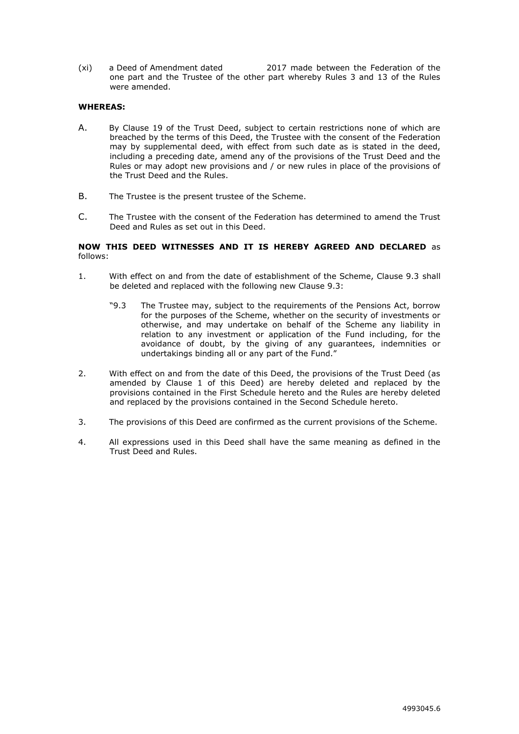(xi) a Deed of Amendment dated 2017 made between the Federation of the one part and the Trustee of the other part whereby Rules 3 and 13 of the Rules were amended.

#### **WHEREAS:**

- A. By Clause 19 of the Trust Deed, subject to certain restrictions none of which are breached by the terms of this Deed, the Trustee with the consent of the Federation may by supplemental deed, with effect from such date as is stated in the deed, including a preceding date, amend any of the provisions of the Trust Deed and the Rules or may adopt new provisions and / or new rules in place of the provisions of the Trust Deed and the Rules.
- B. The Trustee is the present trustee of the Scheme.
- C. The Trustee with the consent of the Federation has determined to amend the Trust Deed and Rules as set out in this Deed.

#### **NOW THIS DEED WITNESSES AND IT IS HEREBY AGREED AND DECLARED** as follows:

- 1. With effect on and from the date of establishment of the Scheme, Clause 9.3 shall be deleted and replaced with the following new Clause 9.3:
	- "9.3 The Trustee may, subject to the requirements of the Pensions Act, borrow for the purposes of the Scheme, whether on the security of investments or otherwise, and may undertake on behalf of the Scheme any liability in relation to any investment or application of the Fund including, for the avoidance of doubt, by the giving of any guarantees, indemnities or undertakings binding all or any part of the Fund."
- 2. With effect on and from the date of this Deed, the provisions of the Trust Deed (as amended by Clause 1 of this Deed) are hereby deleted and replaced by the provisions contained in the First Schedule hereto and the Rules are hereby deleted and replaced by the provisions contained in the Second Schedule hereto.
- 3. The provisions of this Deed are confirmed as the current provisions of the Scheme.
- 4. All expressions used in this Deed shall have the same meaning as defined in the Trust Deed and Rules.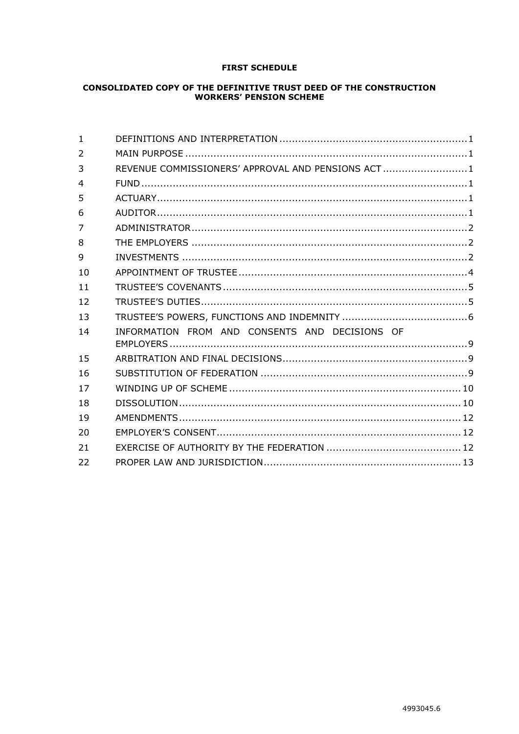# **FIRST SCHEDULE**

# **CONSOLIDATED COPY OF THE DEFINITIVE TRUST DEED OF THE CONSTRUCTION<br>WORKERS' PENSION SCHEME**

| $\mathbf{1}$             |                                                   |  |
|--------------------------|---------------------------------------------------|--|
| $\overline{2}$           |                                                   |  |
| 3                        | REVENUE COMMISSIONERS' APPROVAL AND PENSIONS ACT1 |  |
| $\overline{\mathcal{L}}$ |                                                   |  |
| 5                        |                                                   |  |
| 6                        |                                                   |  |
| $\overline{7}$           |                                                   |  |
| 8                        |                                                   |  |
| 9                        |                                                   |  |
| 10                       |                                                   |  |
| 11                       |                                                   |  |
| 12                       |                                                   |  |
| 13                       |                                                   |  |
| 14                       | INFORMATION FROM AND CONSENTS AND DECISIONS OF    |  |
|                          |                                                   |  |
| 15                       |                                                   |  |
| 16                       |                                                   |  |
| 17                       |                                                   |  |
| 18                       |                                                   |  |
| 19                       |                                                   |  |
| 20                       |                                                   |  |
| 21                       |                                                   |  |
| 22                       |                                                   |  |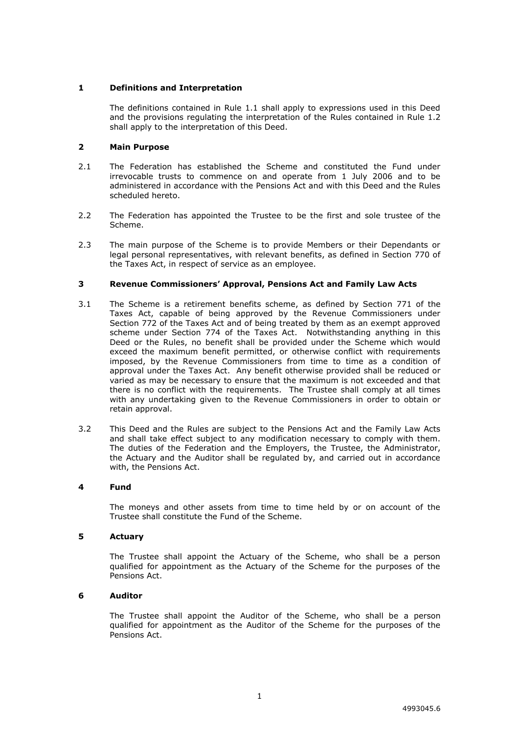## <span id="page-4-0"></span>**1 Definitions and Interpretation**

The definitions contained in Rule 1.1 shall apply to expressions used in this Deed and the provisions regulating the interpretation of the Rules contained in Rule 1.2 shall apply to the interpretation of this Deed.

## <span id="page-4-1"></span>**2 Main Purpose**

- 2.1 The Federation has established the Scheme and constituted the Fund under irrevocable trusts to commence on and operate from 1 July 2006 and to be administered in accordance with the Pensions Act and with this Deed and the Rules scheduled hereto.
- 2.2 The Federation has appointed the Trustee to be the first and sole trustee of the Scheme.
- 2.3 The main purpose of the Scheme is to provide Members or their Dependants or legal personal representatives, with relevant benefits, as defined in Section 770 of the Taxes Act, in respect of service as an employee.

## <span id="page-4-2"></span>**3 Revenue Commissioners' Approval, Pensions Act and Family Law Acts**

- 3.1 The Scheme is a retirement benefits scheme, as defined by Section 771 of the Taxes Act, capable of being approved by the Revenue Commissioners under Section 772 of the Taxes Act and of being treated by them as an exempt approved scheme under Section 774 of the Taxes Act. Notwithstanding anything in this Deed or the Rules, no benefit shall be provided under the Scheme which would exceed the maximum benefit permitted, or otherwise conflict with requirements imposed, by the Revenue Commissioners from time to time as a condition of approval under the Taxes Act. Any benefit otherwise provided shall be reduced or varied as may be necessary to ensure that the maximum is not exceeded and that there is no conflict with the requirements. The Trustee shall comply at all times with any undertaking given to the Revenue Commissioners in order to obtain or retain approval.
- 3.2 This Deed and the Rules are subject to the Pensions Act and the Family Law Acts and shall take effect subject to any modification necessary to comply with them. The duties of the Federation and the Employers, the Trustee, the Administrator, the Actuary and the Auditor shall be regulated by, and carried out in accordance with, the Pensions Act.

#### <span id="page-4-3"></span>**4 Fund**

The moneys and other assets from time to time held by or on account of the Trustee shall constitute the Fund of the Scheme.

#### <span id="page-4-4"></span>**5 Actuary**

The Trustee shall appoint the Actuary of the Scheme, who shall be a person qualified for appointment as the Actuary of the Scheme for the purposes of the Pensions Act.

## <span id="page-4-5"></span>**6 Auditor**

The Trustee shall appoint the Auditor of the Scheme, who shall be a person qualified for appointment as the Auditor of the Scheme for the purposes of the Pensions Act.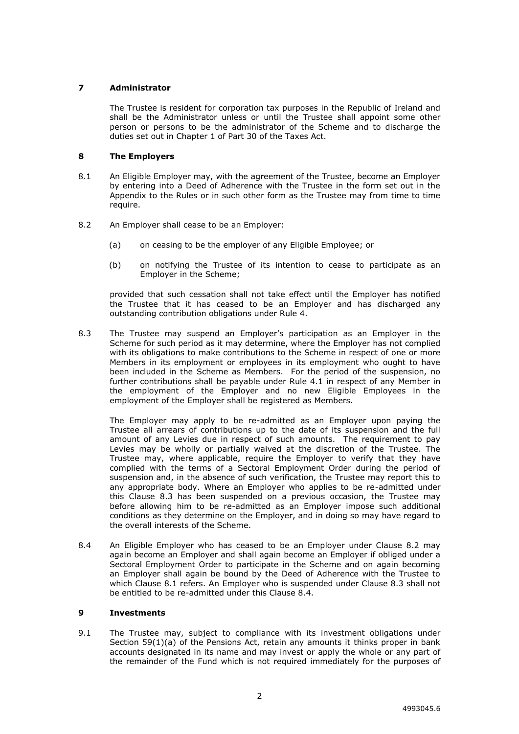# <span id="page-5-0"></span>**7 Administrator**

The Trustee is resident for corporation tax purposes in the Republic of Ireland and shall be the Administrator unless or until the Trustee shall appoint some other person or persons to be the administrator of the Scheme and to discharge the duties set out in Chapter 1 of Part 30 of the Taxes Act.

# <span id="page-5-1"></span>**8 The Employers**

- 8.1 An Eligible Employer may, with the agreement of the Trustee, become an Employer by entering into a Deed of Adherence with the Trustee in the form set out in the Appendix to the Rules or in such other form as the Trustee may from time to time require.
- 8.2 An Employer shall cease to be an Employer:
	- (a) on ceasing to be the employer of any Eligible Employee; or
	- (b) on notifying the Trustee of its intention to cease to participate as an Employer in the Scheme;

provided that such cessation shall not take effect until the Employer has notified the Trustee that it has ceased to be an Employer and has discharged any outstanding contribution obligations under Rule 4.

8.3 The Trustee may suspend an Employer's participation as an Employer in the Scheme for such period as it may determine, where the Employer has not complied with its obligations to make contributions to the Scheme in respect of one or more Members in its employment or employees in its employment who ought to have been included in the Scheme as Members.For the period of the suspension, no further contributions shall be payable under Rule 4.1 in respect of any Member in the employment of the Employer and no new Eligible Employees in the employment of the Employer shall be registered as Members.

The Employer may apply to be re-admitted as an Employer upon paying the Trustee all arrears of contributions up to the date of its suspension and the full amount of any Levies due in respect of such amounts. The requirement to pay Levies may be wholly or partially waived at the discretion of the Trustee. The Trustee may, where applicable, require the Employer to verify that they have complied with the terms of a Sectoral Employment Order during the period of suspension and, in the absence of such verification, the Trustee may report this to any appropriate body. Where an Employer who applies to be re-admitted under this Clause 8.3 has been suspended on a previous occasion, the Trustee may before allowing him to be re-admitted as an Employer impose such additional conditions as they determine on the Employer, and in doing so may have regard to the overall interests of the Scheme.

8.4 An Eligible Employer who has ceased to be an Employer under Clause 8.2 may again become an Employer and shall again become an Employer if obliged under a Sectoral Employment Order to participate in the Scheme and on again becoming an Employer shall again be bound by the Deed of Adherence with the Trustee to which Clause 8.1 refers. An Employer who is suspended under Clause 8.3 shall not be entitled to be re-admitted under this Clause 8.4.

# <span id="page-5-2"></span>**9 Investments**

9.1 The Trustee may, subject to compliance with its investment obligations under Section  $59(1)(a)$  of the Pensions Act, retain any amounts it thinks proper in bank accounts designated in its name and may invest or apply the whole or any part of the remainder of the Fund which is not required immediately for the purposes of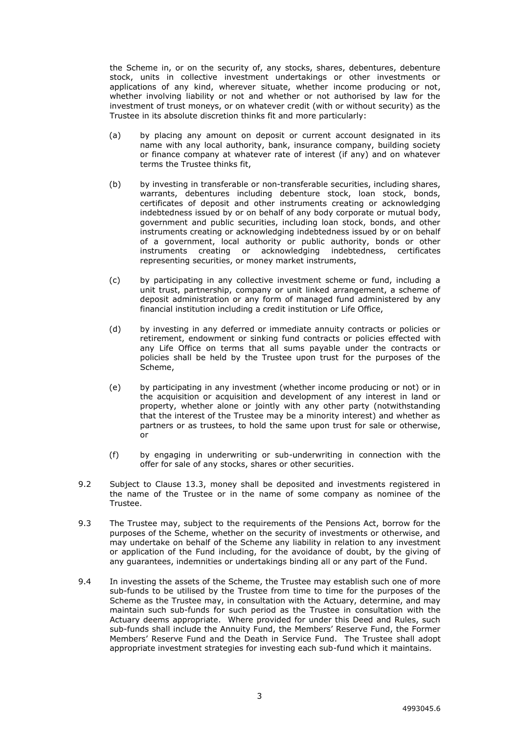the Scheme in, or on the security of, any stocks, shares, debentures, debenture stock, units in collective investment undertakings or other investments or applications of any kind, wherever situate, whether income producing or not, whether involving liability or not and whether or not authorised by law for the investment of trust moneys, or on whatever credit (with or without security) as the Trustee in its absolute discretion thinks fit and more particularly:

- (a) by placing any amount on deposit or current account designated in its name with any local authority, bank, insurance company, building society or finance company at whatever rate of interest (if any) and on whatever terms the Trustee thinks fit,
- (b) by investing in transferable or non-transferable securities, including shares, warrants, debentures including debenture stock, loan stock, bonds, certificates of deposit and other instruments creating or acknowledging indebtedness issued by or on behalf of any body corporate or mutual body, government and public securities, including loan stock, bonds, and other instruments creating or acknowledging indebtedness issued by or on behalf of a government, local authority or public authority, bonds or other instruments creating or acknowledging indebtedness, certificates representing securities, or money market instruments,
- (c) by participating in any collective investment scheme or fund, including a unit trust, partnership, company or unit linked arrangement, a scheme of deposit administration or any form of managed fund administered by any financial institution including a credit institution or Life Office,
- (d) by investing in any deferred or immediate annuity contracts or policies or retirement, endowment or sinking fund contracts or policies effected with any Life Office on terms that all sums payable under the contracts or policies shall be held by the Trustee upon trust for the purposes of the Scheme,
- (e) by participating in any investment (whether income producing or not) or in the acquisition or acquisition and development of any interest in land or property, whether alone or jointly with any other party (notwithstanding that the interest of the Trustee may be a minority interest) and whether as partners or as trustees, to hold the same upon trust for sale or otherwise, or
- (f) by engaging in underwriting or sub-underwriting in connection with the offer for sale of any stocks, shares or other securities.
- 9.2 Subject to Clause 13.3, money shall be deposited and investments registered in the name of the Trustee or in the name of some company as nominee of the Trustee.
- 9.3 The Trustee may, subject to the requirements of the Pensions Act, borrow for the purposes of the Scheme, whether on the security of investments or otherwise, and may undertake on behalf of the Scheme any liability in relation to any investment or application of the Fund including, for the avoidance of doubt, by the giving of any guarantees, indemnities or undertakings binding all or any part of the Fund.
- 9.4 In investing the assets of the Scheme, the Trustee may establish such one of more sub-funds to be utilised by the Trustee from time to time for the purposes of the Scheme as the Trustee may, in consultation with the Actuary, determine, and may maintain such sub-funds for such period as the Trustee in consultation with the Actuary deems appropriate. Where provided for under this Deed and Rules, such sub-funds shall include the Annuity Fund, the Members' Reserve Fund, the Former Members' Reserve Fund and the Death in Service Fund. The Trustee shall adopt appropriate investment strategies for investing each sub-fund which it maintains.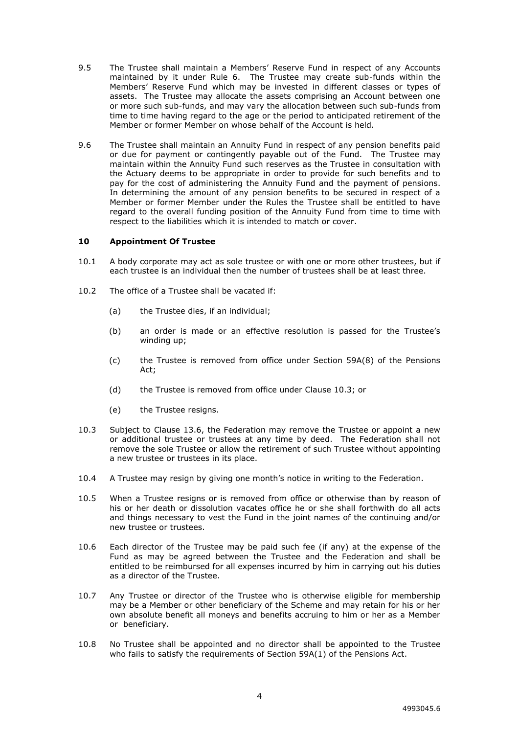- 9.5 The Trustee shall maintain a Members' Reserve Fund in respect of any Accounts maintained by it under Rule 6. The Trustee may create sub-funds within the Members' Reserve Fund which may be invested in different classes or types of assets. The Trustee may allocate the assets comprising an Account between one or more such sub-funds, and may vary the allocation between such sub-funds from time to time having regard to the age or the period to anticipated retirement of the Member or former Member on whose behalf of the Account is held.
- 9.6 The Trustee shall maintain an Annuity Fund in respect of any pension benefits paid or due for payment or contingently payable out of the Fund. The Trustee may maintain within the Annuity Fund such reserves as the Trustee in consultation with the Actuary deems to be appropriate in order to provide for such benefits and to pay for the cost of administering the Annuity Fund and the payment of pensions. In determining the amount of any pension benefits to be secured in respect of a Member or former Member under the Rules the Trustee shall be entitled to have regard to the overall funding position of the Annuity Fund from time to time with respect to the liabilities which it is intended to match or cover.

## <span id="page-7-0"></span>**10 Appointment Of Trustee**

- 10.1 A body corporate may act as sole trustee or with one or more other trustees, but if each trustee is an individual then the number of trustees shall be at least three.
- 10.2 The office of a Trustee shall be vacated if:
	- (a) the Trustee dies, if an individual;
	- (b) an order is made or an effective resolution is passed for the Trustee's winding up;
	- (c) the Trustee is removed from office under Section 59A(8) of the Pensions Act;
	- (d) the Trustee is removed from office under Clause 10.3; or
	- (e) the Trustee resigns.
- 10.3 Subject to Clause 13.6, the Federation may remove the Trustee or appoint a new or additional trustee or trustees at any time by deed. The Federation shall not remove the sole Trustee or allow the retirement of such Trustee without appointing a new trustee or trustees in its place.
- 10.4 A Trustee may resign by giving one month's notice in writing to the Federation.
- 10.5 When a Trustee resigns or is removed from office or otherwise than by reason of his or her death or dissolution vacates office he or she shall forthwith do all acts and things necessary to vest the Fund in the joint names of the continuing and/or new trustee or trustees.
- 10.6 Each director of the Trustee may be paid such fee (if any) at the expense of the Fund as may be agreed between the Trustee and the Federation and shall be entitled to be reimbursed for all expenses incurred by him in carrying out his duties as a director of the Trustee.
- 10.7 Any Trustee or director of the Trustee who is otherwise eligible for membership may be a Member or other beneficiary of the Scheme and may retain for his or her own absolute benefit all moneys and benefits accruing to him or her as a Member or beneficiary.
- 10.8 No Trustee shall be appointed and no director shall be appointed to the Trustee who fails to satisfy the requirements of Section 59A(1) of the Pensions Act.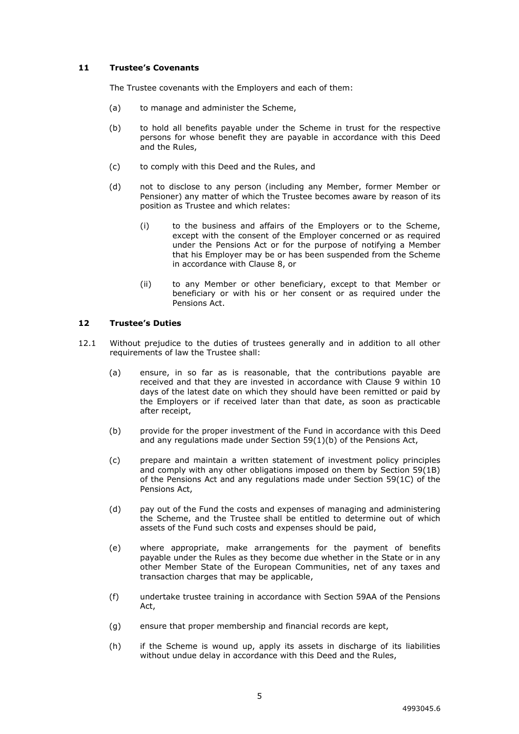## <span id="page-8-0"></span>**11 Trustee's Covenants**

The Trustee covenants with the Employers and each of them:

- (a) to manage and administer the Scheme,
- (b) to hold all benefits payable under the Scheme in trust for the respective persons for whose benefit they are payable in accordance with this Deed and the Rules,
- (c) to comply with this Deed and the Rules, and
- (d) not to disclose to any person (including any Member, former Member or Pensioner) any matter of which the Trustee becomes aware by reason of its position as Trustee and which relates:
	- (i) to the business and affairs of the Employers or to the Scheme, except with the consent of the Employer concerned or as required under the Pensions Act or for the purpose of notifying a Member that his Employer may be or has been suspended from the Scheme in accordance with Clause 8, or
	- (ii) to any Member or other beneficiary, except to that Member or beneficiary or with his or her consent or as required under the Pensions Act.

#### <span id="page-8-1"></span>**12 Trustee's Duties**

- 12.1 Without prejudice to the duties of trustees generally and in addition to all other requirements of law the Trustee shall:
	- (a) ensure, in so far as is reasonable, that the contributions payable are received and that they are invested in accordance with Clause 9 within 10 days of the latest date on which they should have been remitted or paid by the Employers or if received later than that date, as soon as practicable after receipt,
	- (b) provide for the proper investment of the Fund in accordance with this Deed and any regulations made under Section 59(1)(b) of the Pensions Act,
	- (c) prepare and maintain a written statement of investment policy principles and comply with any other obligations imposed on them by Section 59(1B) of the Pensions Act and any regulations made under Section 59(1C) of the Pensions Act,
	- (d) pay out of the Fund the costs and expenses of managing and administering the Scheme, and the Trustee shall be entitled to determine out of which assets of the Fund such costs and expenses should be paid,
	- (e) where appropriate, make arrangements for the payment of benefits payable under the Rules as they become due whether in the State or in any other Member State of the European Communities, net of any taxes and transaction charges that may be applicable,
	- (f) undertake trustee training in accordance with Section 59AA of the Pensions Act,
	- (g) ensure that proper membership and financial records are kept,
	- (h) if the Scheme is wound up, apply its assets in discharge of its liabilities without undue delay in accordance with this Deed and the Rules,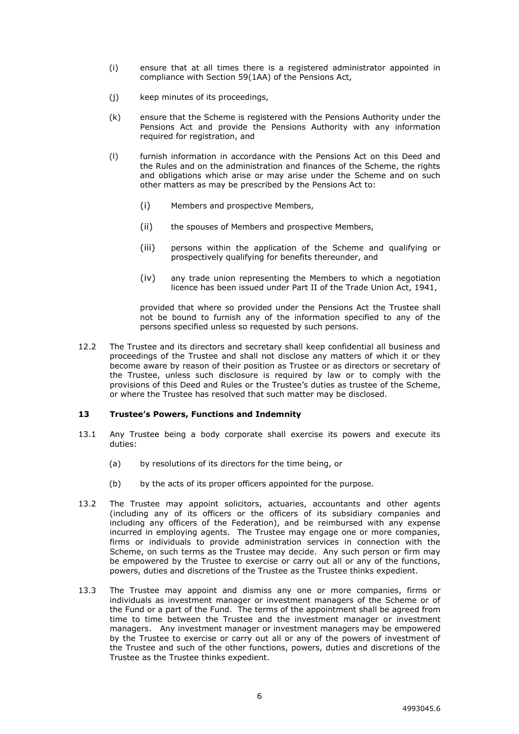- (i) ensure that at all times there is a registered administrator appointed in compliance with Section 59(1AA) of the Pensions Act,
- (j) keep minutes of its proceedings,
- (k) ensure that the Scheme is registered with the Pensions Authority under the Pensions Act and provide the Pensions Authority with any information required for registration, and
- (l) furnish information in accordance with the Pensions Act on this Deed and the Rules and on the administration and finances of the Scheme, the rights and obligations which arise or may arise under the Scheme and on such other matters as may be prescribed by the Pensions Act to:
	- (i) Members and prospective Members,
	- (ii) the spouses of Members and prospective Members,
	- (iii) persons within the application of the Scheme and qualifying or prospectively qualifying for benefits thereunder, and
	- (iv) any trade union representing the Members to which a negotiation licence has been issued under Part II of the Trade Union Act, 1941,

provided that where so provided under the Pensions Act the Trustee shall not be bound to furnish any of the information specified to any of the persons specified unless so requested by such persons.

12.2 The Trustee and its directors and secretary shall keep confidential all business and proceedings of the Trustee and shall not disclose any matters of which it or they become aware by reason of their position as Trustee or as directors or secretary of the Trustee, unless such disclosure is required by law or to comply with the provisions of this Deed and Rules or the Trustee's duties as trustee of the Scheme, or where the Trustee has resolved that such matter may be disclosed.

#### <span id="page-9-0"></span>**13 Trustee's Powers, Functions and Indemnity**

- 13.1 Any Trustee being a body corporate shall exercise its powers and execute its duties:
	- (a) by resolutions of its directors for the time being, or
	- (b) by the acts of its proper officers appointed for the purpose.
- 13.2 The Trustee may appoint solicitors, actuaries, accountants and other agents (including any of its officers or the officers of its subsidiary companies and including any officers of the Federation), and be reimbursed with any expense incurred in employing agents. The Trustee may engage one or more companies, firms or individuals to provide administration services in connection with the Scheme, on such terms as the Trustee may decide. Any such person or firm may be empowered by the Trustee to exercise or carry out all or any of the functions, powers, duties and discretions of the Trustee as the Trustee thinks expedient.
- 13.3 The Trustee may appoint and dismiss any one or more companies, firms or individuals as investment manager or investment managers of the Scheme or of the Fund or a part of the Fund. The terms of the appointment shall be agreed from time to time between the Trustee and the investment manager or investment managers. Any investment manager or investment managers may be empowered by the Trustee to exercise or carry out all or any of the powers of investment of the Trustee and such of the other functions, powers, duties and discretions of the Trustee as the Trustee thinks expedient.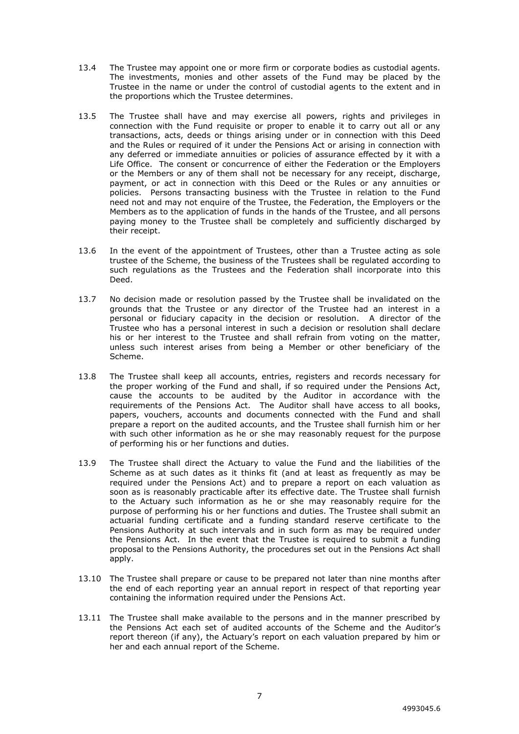- 13.4 The Trustee may appoint one or more firm or corporate bodies as custodial agents. The investments, monies and other assets of the Fund may be placed by the Trustee in the name or under the control of custodial agents to the extent and in the proportions which the Trustee determines.
- 13.5 The Trustee shall have and may exercise all powers, rights and privileges in connection with the Fund requisite or proper to enable it to carry out all or any transactions, acts, deeds or things arising under or in connection with this Deed and the Rules or required of it under the Pensions Act or arising in connection with any deferred or immediate annuities or policies of assurance effected by it with a Life Office. The consent or concurrence of either the Federation or the Employers or the Members or any of them shall not be necessary for any receipt, discharge, payment, or act in connection with this Deed or the Rules or any annuities or policies. Persons transacting business with the Trustee in relation to the Fund need not and may not enquire of the Trustee, the Federation, the Employers or the Members as to the application of funds in the hands of the Trustee, and all persons paying money to the Trustee shall be completely and sufficiently discharged by their receipt.
- 13.6 In the event of the appointment of Trustees, other than a Trustee acting as sole trustee of the Scheme, the business of the Trustees shall be regulated according to such regulations as the Trustees and the Federation shall incorporate into this Deed.
- 13.7 No decision made or resolution passed by the Trustee shall be invalidated on the grounds that the Trustee or any director of the Trustee had an interest in a personal or fiduciary capacity in the decision or resolution. A director of the Trustee who has a personal interest in such a decision or resolution shall declare his or her interest to the Trustee and shall refrain from voting on the matter, unless such interest arises from being a Member or other beneficiary of the Scheme.
- 13.8 The Trustee shall keep all accounts, entries, registers and records necessary for the proper working of the Fund and shall, if so required under the Pensions Act, cause the accounts to be audited by the Auditor in accordance with the requirements of the Pensions Act. The Auditor shall have access to all books, papers, vouchers, accounts and documents connected with the Fund and shall prepare a report on the audited accounts, and the Trustee shall furnish him or her with such other information as he or she may reasonably request for the purpose of performing his or her functions and duties.
- 13.9 The Trustee shall direct the Actuary to value the Fund and the liabilities of the Scheme as at such dates as it thinks fit (and at least as frequently as may be required under the Pensions Act) and to prepare a report on each valuation as soon as is reasonably practicable after its effective date. The Trustee shall furnish to the Actuary such information as he or she may reasonably require for the purpose of performing his or her functions and duties. The Trustee shall submit an actuarial funding certificate and a funding standard reserve certificate to the Pensions Authority at such intervals and in such form as may be required under the Pensions Act. In the event that the Trustee is required to submit a funding proposal to the Pensions Authority, the procedures set out in the Pensions Act shall apply.
- 13.10 The Trustee shall prepare or cause to be prepared not later than nine months after the end of each reporting year an annual report in respect of that reporting year containing the information required under the Pensions Act.
- 13.11 The Trustee shall make available to the persons and in the manner prescribed by the Pensions Act each set of audited accounts of the Scheme and the Auditor's report thereon (if any), the Actuary's report on each valuation prepared by him or her and each annual report of the Scheme.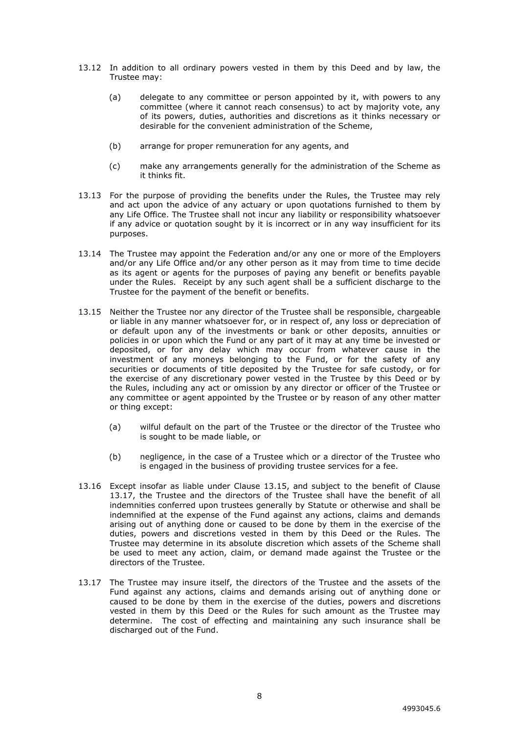- 13.12 In addition to all ordinary powers vested in them by this Deed and by law, the Trustee may:
	- (a) delegate to any committee or person appointed by it, with powers to any committee (where it cannot reach consensus) to act by majority vote, any of its powers, duties, authorities and discretions as it thinks necessary or desirable for the convenient administration of the Scheme,
	- (b) arrange for proper remuneration for any agents, and
	- (c) make any arrangements generally for the administration of the Scheme as it thinks fit.
- 13.13 For the purpose of providing the benefits under the Rules, the Trustee may rely and act upon the advice of any actuary or upon quotations furnished to them by any Life Office. The Trustee shall not incur any liability or responsibility whatsoever if any advice or quotation sought by it is incorrect or in any way insufficient for its purposes.
- 13.14 The Trustee may appoint the Federation and/or any one or more of the Employers and/or any Life Office and/or any other person as it may from time to time decide as its agent or agents for the purposes of paying any benefit or benefits payable under the Rules. Receipt by any such agent shall be a sufficient discharge to the Trustee for the payment of the benefit or benefits.
- 13.15 Neither the Trustee nor any director of the Trustee shall be responsible, chargeable or liable in any manner whatsoever for, or in respect of, any loss or depreciation of or default upon any of the investments or bank or other deposits, annuities or policies in or upon which the Fund or any part of it may at any time be invested or deposited, or for any delay which may occur from whatever cause in the investment of any moneys belonging to the Fund, or for the safety of any securities or documents of title deposited by the Trustee for safe custody, or for the exercise of any discretionary power vested in the Trustee by this Deed or by the Rules, including any act or omission by any director or officer of the Trustee or any committee or agent appointed by the Trustee or by reason of any other matter or thing except:
	- (a) wilful default on the part of the Trustee or the director of the Trustee who is sought to be made liable, or
	- (b) negligence, in the case of a Trustee which or a director of the Trustee who is engaged in the business of providing trustee services for a fee.
- 13.16 Except insofar as liable under Clause 13.15, and subject to the benefit of Clause 13.17, the Trustee and the directors of the Trustee shall have the benefit of all indemnities conferred upon trustees generally by Statute or otherwise and shall be indemnified at the expense of the Fund against any actions, claims and demands arising out of anything done or caused to be done by them in the exercise of the duties, powers and discretions vested in them by this Deed or the Rules. The Trustee may determine in its absolute discretion which assets of the Scheme shall be used to meet any action, claim, or demand made against the Trustee or the directors of the Trustee.
- 13.17 The Trustee may insure itself, the directors of the Trustee and the assets of the Fund against any actions, claims and demands arising out of anything done or caused to be done by them in the exercise of the duties, powers and discretions vested in them by this Deed or the Rules for such amount as the Trustee may determine. The cost of effecting and maintaining any such insurance shall be discharged out of the Fund.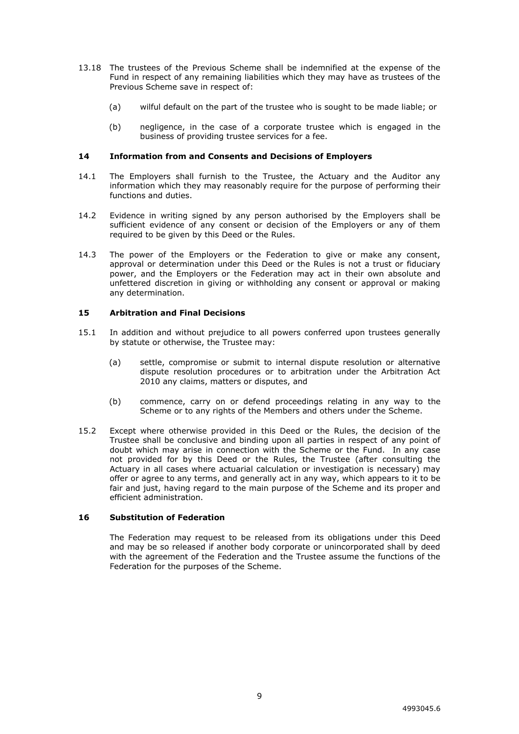- 13.18 The trustees of the Previous Scheme shall be indemnified at the expense of the Fund in respect of any remaining liabilities which they may have as trustees of the Previous Scheme save in respect of:
	- (a) wilful default on the part of the trustee who is sought to be made liable; or
	- (b) negligence, in the case of a corporate trustee which is engaged in the business of providing trustee services for a fee.

#### <span id="page-12-0"></span>**14 Information from and Consents and Decisions of Employers**

- 14.1 The Employers shall furnish to the Trustee, the Actuary and the Auditor any information which they may reasonably require for the purpose of performing their functions and duties.
- 14.2 Evidence in writing signed by any person authorised by the Employers shall be sufficient evidence of any consent or decision of the Employers or any of them required to be given by this Deed or the Rules.
- 14.3 The power of the Employers or the Federation to give or make any consent, approval or determination under this Deed or the Rules is not a trust or fiduciary power, and the Employers or the Federation may act in their own absolute and unfettered discretion in giving or withholding any consent or approval or making any determination.

#### <span id="page-12-1"></span>**15 Arbitration and Final Decisions**

- 15.1 In addition and without prejudice to all powers conferred upon trustees generally by statute or otherwise, the Trustee may:
	- (a) settle, compromise or submit to internal dispute resolution or alternative dispute resolution procedures or to arbitration under the Arbitration Act 2010 any claims, matters or disputes, and
	- (b) commence, carry on or defend proceedings relating in any way to the Scheme or to any rights of the Members and others under the Scheme.
- 15.2 Except where otherwise provided in this Deed or the Rules, the decision of the Trustee shall be conclusive and binding upon all parties in respect of any point of doubt which may arise in connection with the Scheme or the Fund. In any case not provided for by this Deed or the Rules, the Trustee (after consulting the Actuary in all cases where actuarial calculation or investigation is necessary) may offer or agree to any terms, and generally act in any way, which appears to it to be fair and just, having regard to the main purpose of the Scheme and its proper and efficient administration.

#### <span id="page-12-2"></span>**16 Substitution of Federation**

The Federation may request to be released from its obligations under this Deed and may be so released if another body corporate or unincorporated shall by deed with the agreement of the Federation and the Trustee assume the functions of the Federation for the purposes of the Scheme.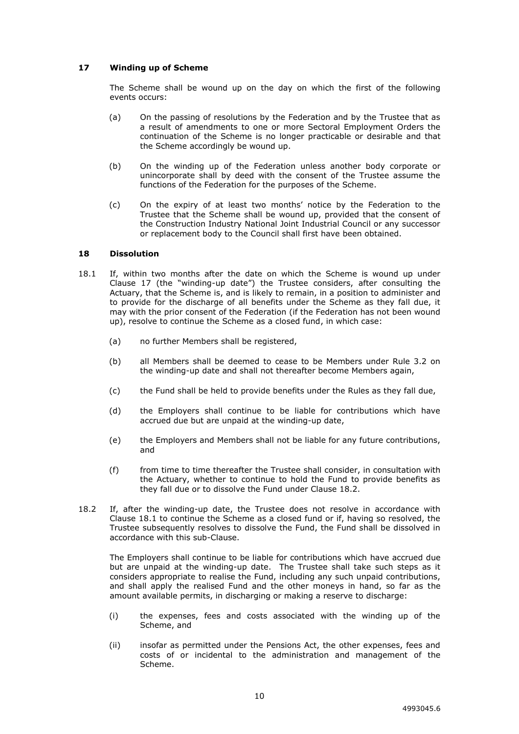## <span id="page-13-0"></span>**17 Winding up of Scheme**

The Scheme shall be wound up on the day on which the first of the following events occurs:

- (a) On the passing of resolutions by the Federation and by the Trustee that as a result of amendments to one or more Sectoral Employment Orders the continuation of the Scheme is no longer practicable or desirable and that the Scheme accordingly be wound up.
- (b) On the winding up of the Federation unless another body corporate or unincorporate shall by deed with the consent of the Trustee assume the functions of the Federation for the purposes of the Scheme.
- (c) On the expiry of at least two months' notice by the Federation to the Trustee that the Scheme shall be wound up, provided that the consent of the Construction Industry National Joint Industrial Council or any successor or replacement body to the Council shall first have been obtained.

#### <span id="page-13-1"></span>**18 Dissolution**

- 18.1 If, within two months after the date on which the Scheme is wound up under Clause 17 (the "winding-up date") the Trustee considers, after consulting the Actuary, that the Scheme is, and is likely to remain, in a position to administer and to provide for the discharge of all benefits under the Scheme as they fall due, it may with the prior consent of the Federation (if the Federation has not been wound up), resolve to continue the Scheme as a closed fund, in which case:
	- (a) no further Members shall be registered,
	- (b) all Members shall be deemed to cease to be Members under Rule 3.2 on the winding-up date and shall not thereafter become Members again,
	- (c) the Fund shall be held to provide benefits under the Rules as they fall due,
	- (d) the Employers shall continue to be liable for contributions which have accrued due but are unpaid at the winding-up date,
	- (e) the Employers and Members shall not be liable for any future contributions, and
	- (f) from time to time thereafter the Trustee shall consider, in consultation with the Actuary, whether to continue to hold the Fund to provide benefits as they fall due or to dissolve the Fund under Clause 18.2.
- 18.2 If, after the winding-up date, the Trustee does not resolve in accordance with Clause 18.1 to continue the Scheme as a closed fund or if, having so resolved, the Trustee subsequently resolves to dissolve the Fund, the Fund shall be dissolved in accordance with this sub-Clause.

The Employers shall continue to be liable for contributions which have accrued due but are unpaid at the winding-up date. The Trustee shall take such steps as it considers appropriate to realise the Fund, including any such unpaid contributions, and shall apply the realised Fund and the other moneys in hand, so far as the amount available permits, in discharging or making a reserve to discharge:

- (i) the expenses, fees and costs associated with the winding up of the Scheme, and
- (ii) insofar as permitted under the Pensions Act, the other expenses, fees and costs of or incidental to the administration and management of the Scheme.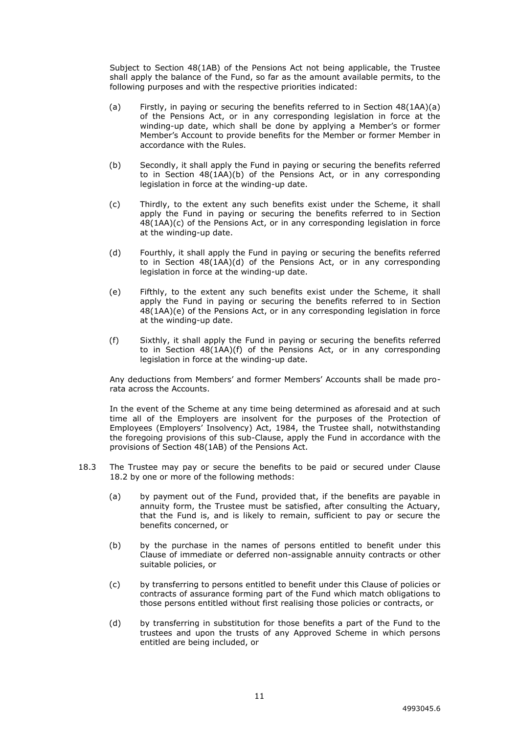Subject to Section 48(1AB) of the Pensions Act not being applicable, the Trustee shall apply the balance of the Fund, so far as the amount available permits, to the following purposes and with the respective priorities indicated:

- (a) Firstly, in paying or securing the benefits referred to in Section 48(1AA)(a) of the Pensions Act, or in any corresponding legislation in force at the winding-up date, which shall be done by applying a Member's or former Member's Account to provide benefits for the Member or former Member in accordance with the Rules.
- (b) Secondly, it shall apply the Fund in paying or securing the benefits referred to in Section 48(1AA)(b) of the Pensions Act, or in any corresponding legislation in force at the winding-up date.
- (c) Thirdly, to the extent any such benefits exist under the Scheme, it shall apply the Fund in paying or securing the benefits referred to in Section 48(1AA)(c) of the Pensions Act, or in any corresponding legislation in force at the winding-up date.
- (d) Fourthly, it shall apply the Fund in paying or securing the benefits referred to in Section 48(1AA)(d) of the Pensions Act, or in any corresponding legislation in force at the winding-up date.
- (e) Fifthly, to the extent any such benefits exist under the Scheme, it shall apply the Fund in paying or securing the benefits referred to in Section 48(1AA)(e) of the Pensions Act, or in any corresponding legislation in force at the winding-up date.
- (f) Sixthly, it shall apply the Fund in paying or securing the benefits referred to in Section 48(1AA)(f) of the Pensions Act, or in any corresponding legislation in force at the winding-up date.

Any deductions from Members' and former Members' Accounts shall be made prorata across the Accounts.

In the event of the Scheme at any time being determined as aforesaid and at such time all of the Employers are insolvent for the purposes of the Protection of Employees (Employers' Insolvency) Act, 1984, the Trustee shall, notwithstanding the foregoing provisions of this sub-Clause, apply the Fund in accordance with the provisions of Section 48(1AB) of the Pensions Act.

- 18.3 The Trustee may pay or secure the benefits to be paid or secured under Clause 18.2 by one or more of the following methods:
	- (a) by payment out of the Fund, provided that, if the benefits are payable in annuity form, the Trustee must be satisfied, after consulting the Actuary, that the Fund is, and is likely to remain, sufficient to pay or secure the benefits concerned, or
	- (b) by the purchase in the names of persons entitled to benefit under this Clause of immediate or deferred non-assignable annuity contracts or other suitable policies, or
	- (c) by transferring to persons entitled to benefit under this Clause of policies or contracts of assurance forming part of the Fund which match obligations to those persons entitled without first realising those policies or contracts, or
	- (d) by transferring in substitution for those benefits a part of the Fund to the trustees and upon the trusts of any Approved Scheme in which persons entitled are being included, or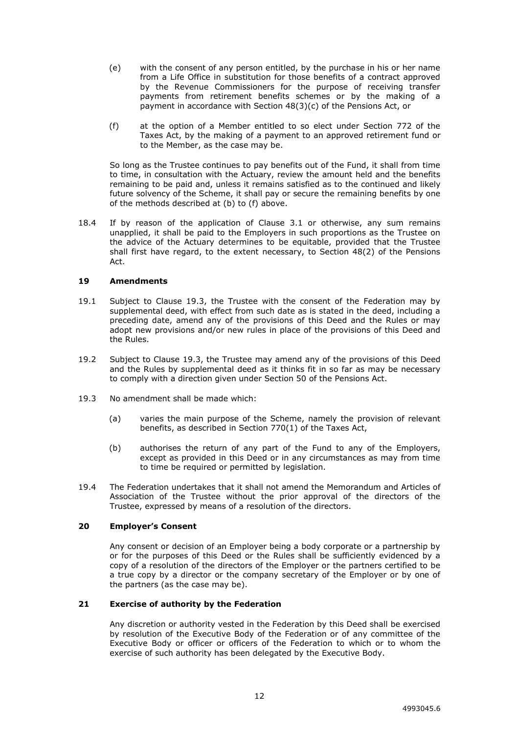- (e) with the consent of any person entitled, by the purchase in his or her name from a Life Office in substitution for those benefits of a contract approved by the Revenue Commissioners for the purpose of receiving transfer payments from retirement benefits schemes or by the making of a payment in accordance with Section 48(3)(c) of the Pensions Act, or
- (f) at the option of a Member entitled to so elect under Section 772 of the Taxes Act, by the making of a payment to an approved retirement fund or to the Member, as the case may be.

So long as the Trustee continues to pay benefits out of the Fund, it shall from time to time, in consultation with the Actuary, review the amount held and the benefits remaining to be paid and, unless it remains satisfied as to the continued and likely future solvency of the Scheme, it shall pay or secure the remaining benefits by one of the methods described at (b) to (f) above.

18.4 If by reason of the application of Clause 3.1 or otherwise, any sum remains unapplied, it shall be paid to the Employers in such proportions as the Trustee on the advice of the Actuary determines to be equitable, provided that the Trustee shall first have regard, to the extent necessary, to Section 48(2) of the Pensions Act.

#### <span id="page-15-0"></span>**19 Amendments**

- 19.1 Subject to Clause 19.3, the Trustee with the consent of the Federation may by supplemental deed, with effect from such date as is stated in the deed, including a preceding date, amend any of the provisions of this Deed and the Rules or may adopt new provisions and/or new rules in place of the provisions of this Deed and the Rules.
- 19.2 Subject to Clause 19.3, the Trustee may amend any of the provisions of this Deed and the Rules by supplemental deed as it thinks fit in so far as may be necessary to comply with a direction given under Section 50 of the Pensions Act.
- 19.3 No amendment shall be made which:
	- (a) varies the main purpose of the Scheme, namely the provision of relevant benefits, as described in Section 770(1) of the Taxes Act,
	- (b) authorises the return of any part of the Fund to any of the Employers, except as provided in this Deed or in any circumstances as may from time to time be required or permitted by legislation.
- 19.4 The Federation undertakes that it shall not amend the Memorandum and Articles of Association of the Trustee without the prior approval of the directors of the Trustee, expressed by means of a resolution of the directors.

#### <span id="page-15-1"></span>**20 Employer's Consent**

Any consent or decision of an Employer being a body corporate or a partnership by or for the purposes of this Deed or the Rules shall be sufficiently evidenced by a copy of a resolution of the directors of the Employer or the partners certified to be a true copy by a director or the company secretary of the Employer or by one of the partners (as the case may be).

#### <span id="page-15-2"></span>**21 Exercise of authority by the Federation**

Any discretion or authority vested in the Federation by this Deed shall be exercised by resolution of the Executive Body of the Federation or of any committee of the Executive Body or officer or officers of the Federation to which or to whom the exercise of such authority has been delegated by the Executive Body.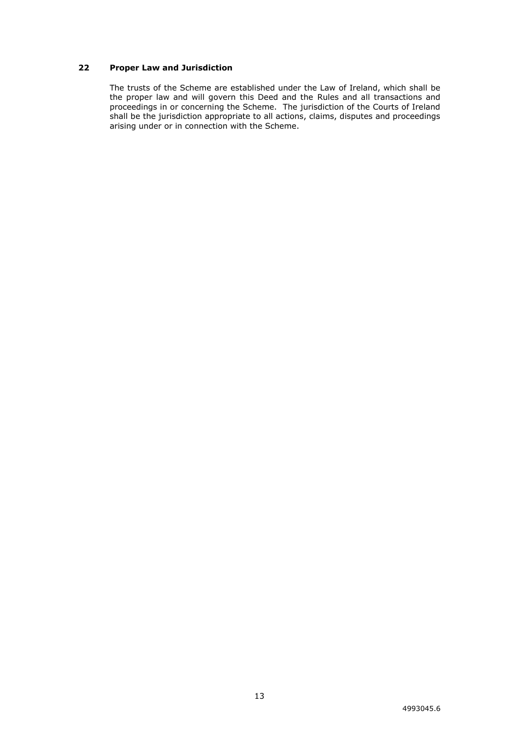# <span id="page-16-0"></span>**22 Proper Law and Jurisdiction**

The trusts of the Scheme are established under the Law of Ireland, which shall be the proper law and will govern this Deed and the Rules and all transactions and proceedings in or concerning the Scheme. The jurisdiction of the Courts of Ireland shall be the jurisdiction appropriate to all actions, claims, disputes and proceedings arising under or in connection with the Scheme.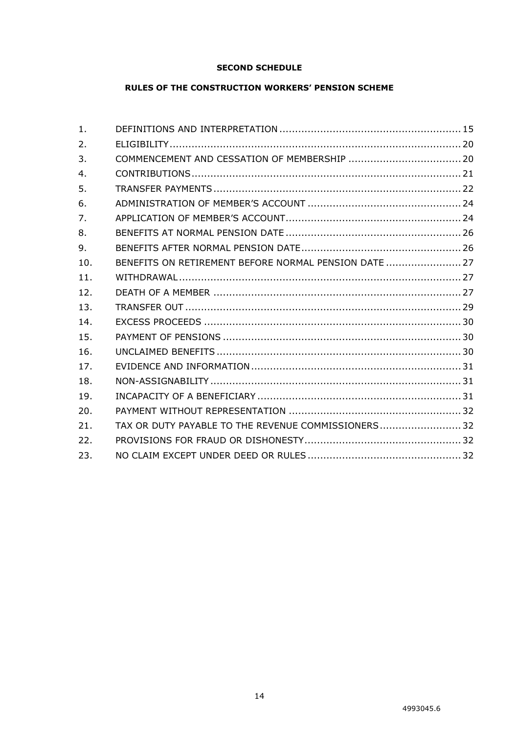# **SECOND SCHEDULE**

# **RULES OF THE CONSTRUCTION WORKERS' PENSION SCHEME**

| 1.               |                                                       |  |
|------------------|-------------------------------------------------------|--|
| $\overline{2}$ . |                                                       |  |
| 3.               |                                                       |  |
| 4.               |                                                       |  |
| 5.               |                                                       |  |
| 6.               |                                                       |  |
| 7.               |                                                       |  |
| 8.               |                                                       |  |
| 9.               |                                                       |  |
| 10.              | BENEFITS ON RETIREMENT BEFORE NORMAL PENSION DATE  27 |  |
| 11.              |                                                       |  |
| 12.              |                                                       |  |
| 13.              |                                                       |  |
| 14.              |                                                       |  |
| 15.              |                                                       |  |
| 16.              |                                                       |  |
| 17.              |                                                       |  |
| 18.              |                                                       |  |
| 19.              |                                                       |  |
| 20.              |                                                       |  |
| 21.              | TAX OR DUTY PAYABLE TO THE REVENUE COMMISSIONERS 32   |  |
| 22.              |                                                       |  |
| 23.              |                                                       |  |
|                  |                                                       |  |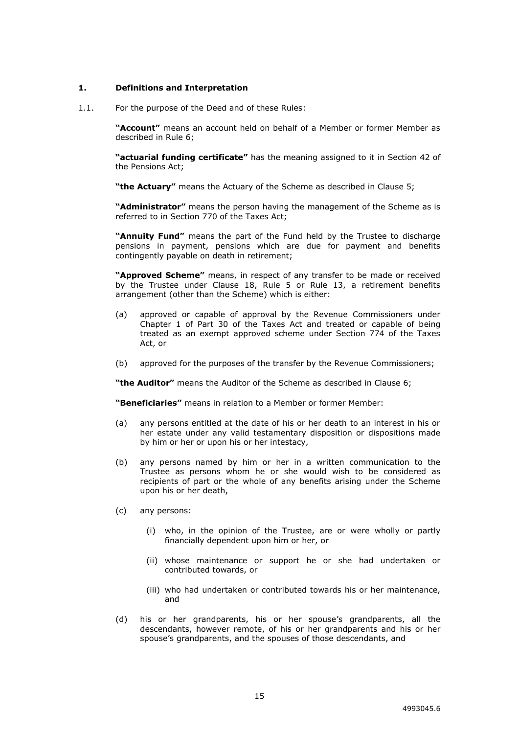## <span id="page-18-0"></span>**1. Definitions and Interpretation**

1.1. For the purpose of the Deed and of these Rules:

**"Account"** means an account held on behalf of a Member or former Member as described in Rule 6;

**"actuarial funding certificate"** has the meaning assigned to it in Section 42 of the Pensions Act;

**"the Actuary"** means the Actuary of the Scheme as described in Clause 5;

**"Administrator"** means the person having the management of the Scheme as is referred to in Section 770 of the Taxes Act;

**"Annuity Fund"** means the part of the Fund held by the Trustee to discharge pensions in payment, pensions which are due for payment and benefits contingently payable on death in retirement;

**"Approved Scheme"** means, in respect of any transfer to be made or received by the Trustee under Clause 18, Rule 5 or Rule 13, a retirement benefits arrangement (other than the Scheme) which is either:

- (a) approved or capable of approval by the Revenue Commissioners under Chapter 1 of Part 30 of the Taxes Act and treated or capable of being treated as an exempt approved scheme under Section 774 of the Taxes Act, or
- (b) approved for the purposes of the transfer by the Revenue Commissioners;

**"the Auditor"** means the Auditor of the Scheme as described in Clause 6;

**"Beneficiaries"** means in relation to a Member or former Member:

- (a) any persons entitled at the date of his or her death to an interest in his or her estate under any valid testamentary disposition or dispositions made by him or her or upon his or her intestacy,
- (b) any persons named by him or her in a written communication to the Trustee as persons whom he or she would wish to be considered as recipients of part or the whole of any benefits arising under the Scheme upon his or her death,
- (c) any persons:
	- (i) who, in the opinion of the Trustee, are or were wholly or partly financially dependent upon him or her, or
	- (ii) whose maintenance or support he or she had undertaken or contributed towards, or
	- (iii) who had undertaken or contributed towards his or her maintenance, and
- (d) his or her grandparents, his or her spouse's grandparents, all the descendants, however remote, of his or her grandparents and his or her spouse's grandparents, and the spouses of those descendants, and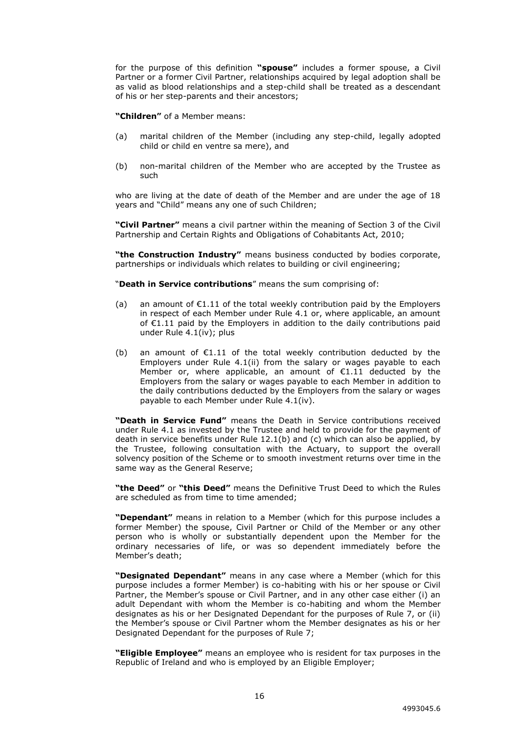for the purpose of this definition **"spouse"** includes a former spouse, a Civil Partner or a former Civil Partner, relationships acquired by legal adoption shall be as valid as blood relationships and a step-child shall be treated as a descendant of his or her step-parents and their ancestors;

**"Children"** of a Member means:

- (a) marital children of the Member (including any step-child, legally adopted child or child en ventre sa mere), and
- (b) non-marital children of the Member who are accepted by the Trustee as such

who are living at the date of death of the Member and are under the age of 18 years and "Child" means any one of such Children;

**"Civil Partner"** means a civil partner within the meaning of Section 3 of the Civil Partnership and Certain Rights and Obligations of Cohabitants Act, 2010;

**"the Construction Industry"** means business conducted by bodies corporate, partnerships or individuals which relates to building or civil engineering;

"**Death in Service contributions**" means the sum comprising of:

- (a) an amount of  $E1.11$  of the total weekly contribution paid by the Employers in respect of each Member under Rule 4.1 or, where applicable, an amount of €1.11 paid by the Employers in addition to the daily contributions paid under Rule 4.1(iv); plus
- (b) an amount of €1.11 of the total weekly contribution deducted by the Employers under Rule 4.1(ii) from the salary or wages payable to each Member or, where applicable, an amount of €1.11 deducted by the Employers from the salary or wages payable to each Member in addition to the daily contributions deducted by the Employers from the salary or wages payable to each Member under Rule 4.1(iv).

**"Death in Service Fund"** means the Death in Service contributions received under Rule 4.1 as invested by the Trustee and held to provide for the payment of death in service benefits under Rule 12.1(b) and (c) which can also be applied, by the Trustee, following consultation with the Actuary, to support the overall solvency position of the Scheme or to smooth investment returns over time in the same way as the General Reserve;

**"the Deed"** or **"this Deed"** means the Definitive Trust Deed to which the Rules are scheduled as from time to time amended;

**"Dependant"** means in relation to a Member (which for this purpose includes a former Member) the spouse, Civil Partner or Child of the Member or any other person who is wholly or substantially dependent upon the Member for the ordinary necessaries of life, or was so dependent immediately before the Member's death;

**"Designated Dependant"** means in any case where a Member (which for this purpose includes a former Member) is co-habiting with his or her spouse or Civil Partner, the Member's spouse or Civil Partner, and in any other case either (i) an adult Dependant with whom the Member is co-habiting and whom the Member designates as his or her Designated Dependant for the purposes of Rule 7, or (ii) the Member's spouse or Civil Partner whom the Member designates as his or her Designated Dependant for the purposes of Rule 7;

**"Eligible Employee"** means an employee who is resident for tax purposes in the Republic of Ireland and who is employed by an Eligible Employer;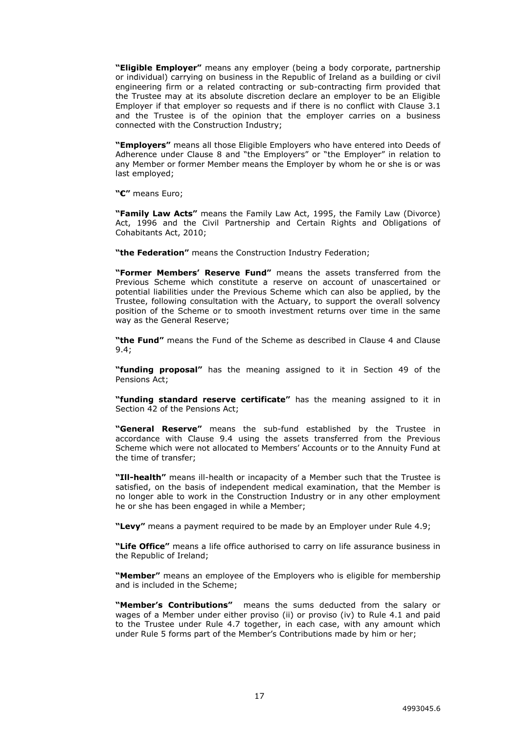**"Eligible Employer"** means any employer (being a body corporate, partnership or individual) carrying on business in the Republic of Ireland as a building or civil engineering firm or a related contracting or sub-contracting firm provided that the Trustee may at its absolute discretion declare an employer to be an Eligible Employer if that employer so requests and if there is no conflict with Clause 3.1 and the Trustee is of the opinion that the employer carries on a business connected with the Construction Industry;

**"Employers"** means all those Eligible Employers who have entered into Deeds of Adherence under Clause 8 and "the Employers" or "the Employer" in relation to any Member or former Member means the Employer by whom he or she is or was last employed;

**"€"** means Euro;

**"Family Law Acts"** means the Family Law Act, 1995, the Family Law (Divorce) Act, 1996 and the Civil Partnership and Certain Rights and Obligations of Cohabitants Act, 2010;

**"the Federation"** means the Construction Industry Federation;

**"Former Members' Reserve Fund"** means the assets transferred from the Previous Scheme which constitute a reserve on account of unascertained or potential liabilities under the Previous Scheme which can also be applied, by the Trustee, following consultation with the Actuary, to support the overall solvency position of the Scheme or to smooth investment returns over time in the same way as the General Reserve;

**"the Fund"** means the Fund of the Scheme as described in Clause 4 and Clause 9.4;

**"funding proposal"** has the meaning assigned to it in Section 49 of the Pensions Act;

**"funding standard reserve certificate"** has the meaning assigned to it in Section 42 of the Pensions Act;

**"General Reserve"** means the sub-fund established by the Trustee in accordance with Clause 9.4 using the assets transferred from the Previous Scheme which were not allocated to Members' Accounts or to the Annuity Fund at the time of transfer;

**"Ill-health"** means ill-health or incapacity of a Member such that the Trustee is satisfied, on the basis of independent medical examination, that the Member is no longer able to work in the Construction Industry or in any other employment he or she has been engaged in while a Member;

**"Levy"** means a payment required to be made by an Employer under Rule 4.9;

**"Life Office"** means a life office authorised to carry on life assurance business in the Republic of Ireland;

**"Member"** means an employee of the Employers who is eligible for membership and is included in the Scheme;

**"Member's Contributions"** means the sums deducted from the salary or wages of a Member under either proviso (ii) or proviso (iv) to Rule 4.1 and paid to the Trustee under Rule 4.7 together, in each case, with any amount which under Rule 5 forms part of the Member's Contributions made by him or her;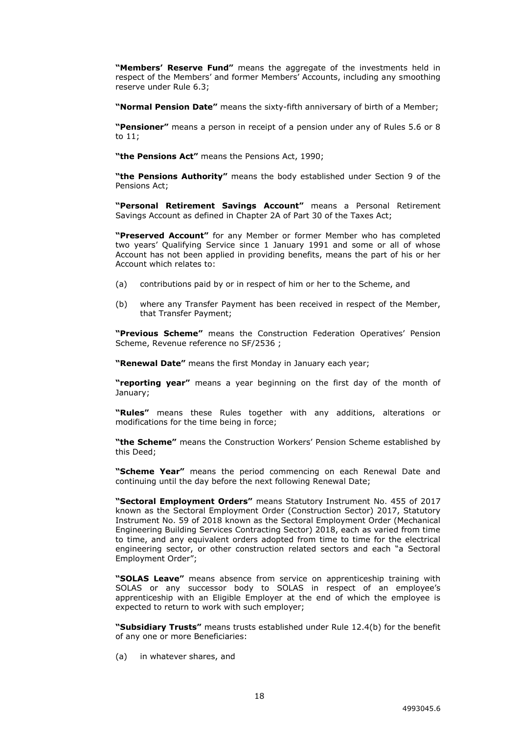**"Members' Reserve Fund"** means the aggregate of the investments held in respect of the Members' and former Members' Accounts, including any smoothing reserve under Rule 6.3;

**"Normal Pension Date"** means the sixty-fifth anniversary of birth of a Member;

**"Pensioner"** means a person in receipt of a pension under any of Rules 5.6 or 8 to 11;

**"the Pensions Act"** means the Pensions Act, 1990;

**"the Pensions Authority"** means the body established under Section 9 of the Pensions Act;

**"Personal Retirement Savings Account"** means a Personal Retirement Savings Account as defined in Chapter 2A of Part 30 of the Taxes Act;

**"Preserved Account"** for any Member or former Member who has completed two years' Qualifying Service since 1 January 1991 and some or all of whose Account has not been applied in providing benefits, means the part of his or her Account which relates to:

- (a) contributions paid by or in respect of him or her to the Scheme, and
- (b) where any Transfer Payment has been received in respect of the Member, that Transfer Payment;

**"Previous Scheme"** means the Construction Federation Operatives' Pension Scheme, Revenue reference no SF/2536 ;

**"Renewal Date"** means the first Monday in January each year;

**"reporting year"** means a year beginning on the first day of the month of January;

**"Rules"** means these Rules together with any additions, alterations or modifications for the time being in force;

**"the Scheme"** means the Construction Workers' Pension Scheme established by this Deed;

**"Scheme Year"** means the period commencing on each Renewal Date and continuing until the day before the next following Renewal Date;

**"Sectoral Employment Orders"** means Statutory Instrument No. 455 of 2017 known as the Sectoral Employment Order (Construction Sector) 2017, Statutory Instrument No. 59 of 2018 known as the Sectoral Employment Order (Mechanical Engineering Building Services Contracting Sector) 2018, each as varied from time to time, and any equivalent orders adopted from time to time for the electrical engineering sector, or other construction related sectors and each "a Sectoral Employment Order";

**"SOLAS Leave"** means absence from service on apprenticeship training with SOLAS or any successor body to SOLAS in respect of an employee's apprenticeship with an Eligible Employer at the end of which the employee is expected to return to work with such employer;

**"Subsidiary Trusts"** means trusts established under Rule 12.4(b) for the benefit of any one or more Beneficiaries:

(a) in whatever shares, and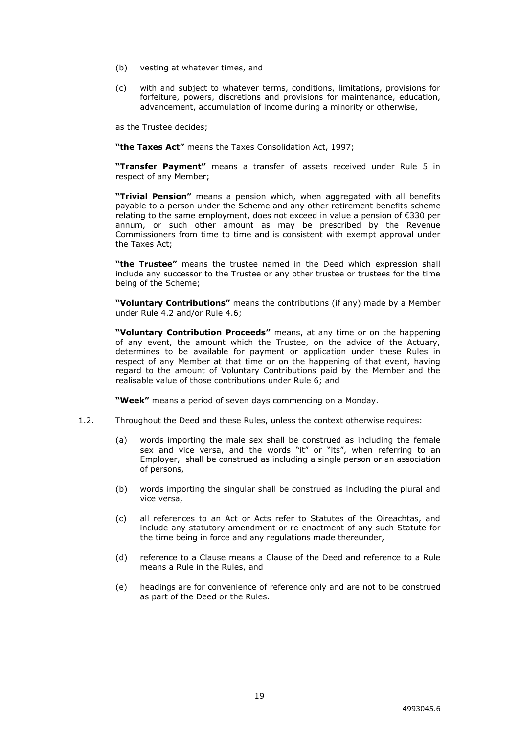- (b) vesting at whatever times, and
- (c) with and subject to whatever terms, conditions, limitations, provisions for forfeiture, powers, discretions and provisions for maintenance, education, advancement, accumulation of income during a minority or otherwise,

as the Trustee decides;

**"the Taxes Act"** means the Taxes Consolidation Act, 1997;

**"Transfer Payment"** means a transfer of assets received under Rule 5 in respect of any Member;

**"Trivial Pension"** means a pension which, when aggregated with all benefits payable to a person under the Scheme and any other retirement benefits scheme relating to the same employment, does not exceed in value a pension of €330 per annum, or such other amount as may be prescribed by the Revenue Commissioners from time to time and is consistent with exempt approval under the Taxes Act;

**"the Trustee"** means the trustee named in the Deed which expression shall include any successor to the Trustee or any other trustee or trustees for the time being of the Scheme;

**"Voluntary Contributions"** means the contributions (if any) made by a Member under Rule 4.2 and/or Rule 4.6;

**"Voluntary Contribution Proceeds"** means, at any time or on the happening of any event, the amount which the Trustee, on the advice of the Actuary, determines to be available for payment or application under these Rules in respect of any Member at that time or on the happening of that event, having regard to the amount of Voluntary Contributions paid by the Member and the realisable value of those contributions under Rule 6; and

**"Week"** means a period of seven days commencing on a Monday.

- 1.2. Throughout the Deed and these Rules, unless the context otherwise requires:
	- (a) words importing the male sex shall be construed as including the female sex and vice versa, and the words "it" or "its", when referring to an Employer, shall be construed as including a single person or an association of persons,
	- (b) words importing the singular shall be construed as including the plural and vice versa,
	- (c) all references to an Act or Acts refer to Statutes of the Oireachtas, and include any statutory amendment or re-enactment of any such Statute for the time being in force and any regulations made thereunder,
	- (d) reference to a Clause means a Clause of the Deed and reference to a Rule means a Rule in the Rules, and
	- (e) headings are for convenience of reference only and are not to be construed as part of the Deed or the Rules.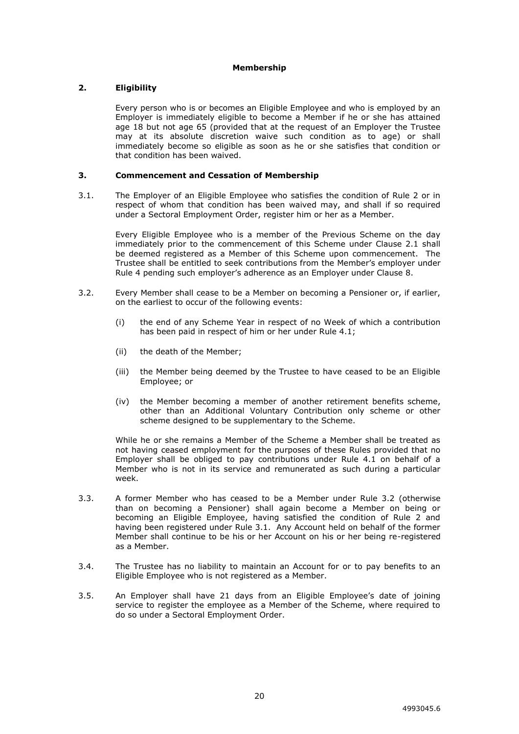## **Membership**

## <span id="page-23-0"></span>**2. Eligibility**

Every person who is or becomes an Eligible Employee and who is employed by an Employer is immediately eligible to become a Member if he or she has attained age 18 but not age 65 (provided that at the request of an Employer the Trustee may at its absolute discretion waive such condition as to age) or shall immediately become so eligible as soon as he or she satisfies that condition or that condition has been waived.

#### <span id="page-23-1"></span>**3. Commencement and Cessation of Membership**

3.1. The Employer of an Eligible Employee who satisfies the condition of Rule 2 or in respect of whom that condition has been waived may, and shall if so required under a Sectoral Employment Order, register him or her as a Member.

Every Eligible Employee who is a member of the Previous Scheme on the day immediately prior to the commencement of this Scheme under Clause 2.1 shall be deemed registered as a Member of this Scheme upon commencement. The Trustee shall be entitled to seek contributions from the Member's employer under Rule 4 pending such employer's adherence as an Employer under Clause 8.

- 3.2. Every Member shall cease to be a Member on becoming a Pensioner or, if earlier, on the earliest to occur of the following events:
	- (i) the end of any Scheme Year in respect of no Week of which a contribution has been paid in respect of him or her under Rule 4.1;
	- (ii) the death of the Member;
	- (iii) the Member being deemed by the Trustee to have ceased to be an Eligible Employee; or
	- (iv) the Member becoming a member of another retirement benefits scheme, other than an Additional Voluntary Contribution only scheme or other scheme designed to be supplementary to the Scheme.

While he or she remains a Member of the Scheme a Member shall be treated as not having ceased employment for the purposes of these Rules provided that no Employer shall be obliged to pay contributions under Rule 4.1 on behalf of a Member who is not in its service and remunerated as such during a particular week.

- 3.3. A former Member who has ceased to be a Member under Rule 3.2 (otherwise than on becoming a Pensioner) shall again become a Member on being or becoming an Eligible Employee, having satisfied the condition of Rule 2 and having been registered under Rule 3.1. Any Account held on behalf of the former Member shall continue to be his or her Account on his or her being re-registered as a Member.
- 3.4. The Trustee has no liability to maintain an Account for or to pay benefits to an Eligible Employee who is not registered as a Member.
- 3.5. An Employer shall have 21 days from an Eligible Employee's date of joining service to register the employee as a Member of the Scheme, where required to do so under a Sectoral Employment Order.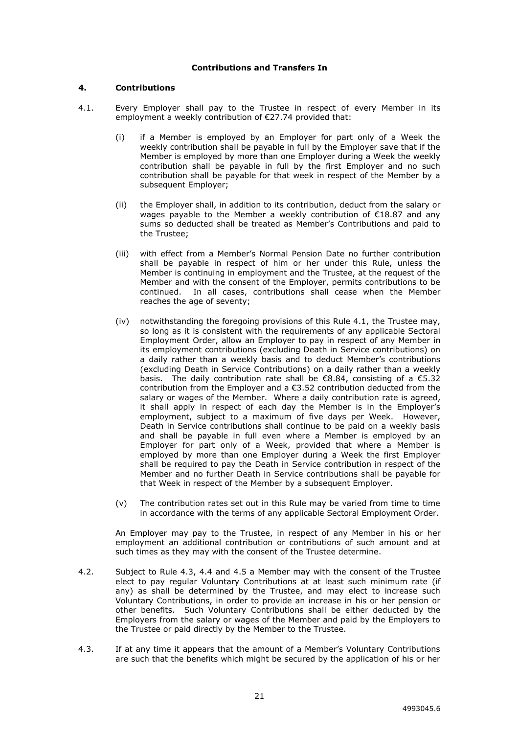## **Contributions and Transfers In**

#### <span id="page-24-0"></span>**4. Contributions**

- 4.1. Every Employer shall pay to the Trustee in respect of every Member in its employment a weekly contribution of €27.74 provided that:
	- (i) if a Member is employed by an Employer for part only of a Week the weekly contribution shall be payable in full by the Employer save that if the Member is employed by more than one Employer during a Week the weekly contribution shall be payable in full by the first Employer and no such contribution shall be payable for that week in respect of the Member by a subsequent Employer;
	- (ii) the Employer shall, in addition to its contribution, deduct from the salary or wages payable to the Member a weekly contribution of €18.87 and any sums so deducted shall be treated as Member's Contributions and paid to the Trustee;
	- (iii) with effect from a Member's Normal Pension Date no further contribution shall be payable in respect of him or her under this Rule, unless the Member is continuing in employment and the Trustee, at the request of the Member and with the consent of the Employer, permits contributions to be continued. In all cases, contributions shall cease when the Member reaches the age of seventy;
	- (iv) notwithstanding the foregoing provisions of this Rule 4.1, the Trustee may, so long as it is consistent with the requirements of any applicable Sectoral Employment Order, allow an Employer to pay in respect of any Member in its employment contributions (excluding Death in Service contributions) on a daily rather than a weekly basis and to deduct Member's contributions (excluding Death in Service Contributions) on a daily rather than a weekly basis. The daily contribution rate shall be  $\epsilon$ 8.84, consisting of a  $\epsilon$ 5.32 contribution from the Employer and a €3.52 contribution deducted from the salary or wages of the Member. Where a daily contribution rate is agreed, it shall apply in respect of each day the Member is in the Employer's employment, subject to a maximum of five days per Week. However, Death in Service contributions shall continue to be paid on a weekly basis and shall be payable in full even where a Member is employed by an Employer for part only of a Week, provided that where a Member is employed by more than one Employer during a Week the first Employer shall be required to pay the Death in Service contribution in respect of the Member and no further Death in Service contributions shall be payable for that Week in respect of the Member by a subsequent Employer.
	- (v) The contribution rates set out in this Rule may be varied from time to time in accordance with the terms of any applicable Sectoral Employment Order.

An Employer may pay to the Trustee, in respect of any Member in his or her employment an additional contribution or contributions of such amount and at such times as they may with the consent of the Trustee determine.

- 4.2. Subject to Rule 4.3, 4.4 and 4.5 a Member may with the consent of the Trustee elect to pay regular Voluntary Contributions at at least such minimum rate (if any) as shall be determined by the Trustee, and may elect to increase such Voluntary Contributions, in order to provide an increase in his or her pension or other benefits. Such Voluntary Contributions shall be either deducted by the Employers from the salary or wages of the Member and paid by the Employers to the Trustee or paid directly by the Member to the Trustee.
- 4.3. If at any time it appears that the amount of a Member's Voluntary Contributions are such that the benefits which might be secured by the application of his or her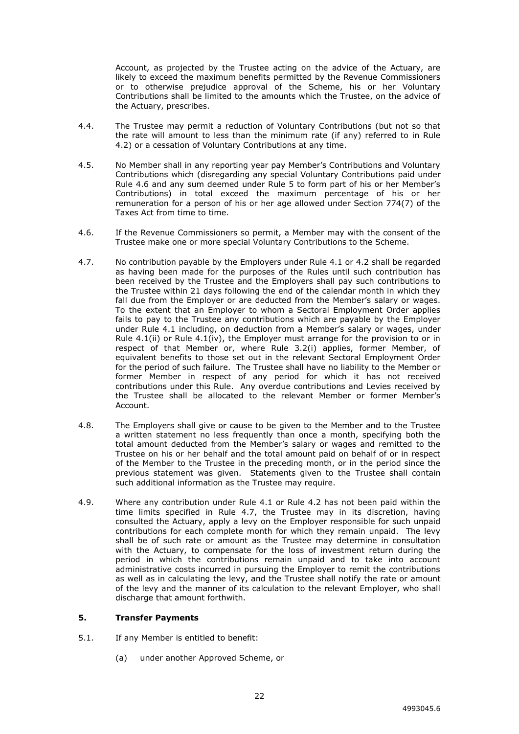Account, as projected by the Trustee acting on the advice of the Actuary, are likely to exceed the maximum benefits permitted by the Revenue Commissioners or to otherwise prejudice approval of the Scheme, his or her Voluntary Contributions shall be limited to the amounts which the Trustee, on the advice of the Actuary, prescribes.

- 4.4. The Trustee may permit a reduction of Voluntary Contributions (but not so that the rate will amount to less than the minimum rate (if any) referred to in Rule 4.2) or a cessation of Voluntary Contributions at any time.
- 4.5. No Member shall in any reporting year pay Member's Contributions and Voluntary Contributions which (disregarding any special Voluntary Contributions paid under Rule 4.6 and any sum deemed under Rule 5 to form part of his or her Member's Contributions) in total exceed the maximum percentage of his or her remuneration for a person of his or her age allowed under Section 774(7) of the Taxes Act from time to time.
- 4.6. If the Revenue Commissioners so permit, a Member may with the consent of the Trustee make one or more special Voluntary Contributions to the Scheme.
- 4.7. No contribution payable by the Employers under Rule 4.1 or 4.2 shall be regarded as having been made for the purposes of the Rules until such contribution has been received by the Trustee and the Employers shall pay such contributions to the Trustee within 21 days following the end of the calendar month in which they fall due from the Employer or are deducted from the Member's salary or wages. To the extent that an Employer to whom a Sectoral Employment Order applies fails to pay to the Trustee any contributions which are payable by the Employer under Rule 4.1 including, on deduction from a Member's salary or wages, under Rule 4.1(ii) or Rule 4.1(iv), the Employer must arrange for the provision to or in respect of that Member or, where Rule 3.2(i) applies, former Member, of equivalent benefits to those set out in the relevant Sectoral Employment Order for the period of such failure. The Trustee shall have no liability to the Member or former Member in respect of any period for which it has not received contributions under this Rule. Any overdue contributions and Levies received by the Trustee shall be allocated to the relevant Member or former Member's Account.
- 4.8. The Employers shall give or cause to be given to the Member and to the Trustee a written statement no less frequently than once a month, specifying both the total amount deducted from the Member's salary or wages and remitted to the Trustee on his or her behalf and the total amount paid on behalf of or in respect of the Member to the Trustee in the preceding month, or in the period since the previous statement was given. Statements given to the Trustee shall contain such additional information as the Trustee may require.
- 4.9. Where any contribution under Rule 4.1 or Rule 4.2 has not been paid within the time limits specified in Rule 4.7, the Trustee may in its discretion, having consulted the Actuary, apply a levy on the Employer responsible for such unpaid contributions for each complete month for which they remain unpaid. The levy shall be of such rate or amount as the Trustee may determine in consultation with the Actuary, to compensate for the loss of investment return during the period in which the contributions remain unpaid and to take into account administrative costs incurred in pursuing the Employer to remit the contributions as well as in calculating the levy, and the Trustee shall notify the rate or amount of the levy and the manner of its calculation to the relevant Employer, who shall discharge that amount forthwith.

#### <span id="page-25-0"></span>**5. Transfer Payments**

- 5.1. If any Member is entitled to benefit:
	- (a) under another Approved Scheme, or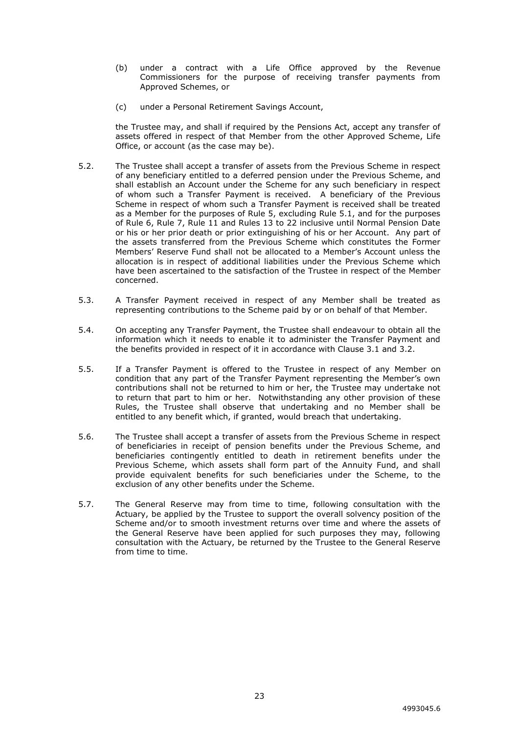- (b) under a contract with a Life Office approved by the Revenue Commissioners for the purpose of receiving transfer payments from Approved Schemes, or
- (c) under a Personal Retirement Savings Account,

the Trustee may, and shall if required by the Pensions Act, accept any transfer of assets offered in respect of that Member from the other Approved Scheme, Life Office, or account (as the case may be).

- 5.2. The Trustee shall accept a transfer of assets from the Previous Scheme in respect of any beneficiary entitled to a deferred pension under the Previous Scheme, and shall establish an Account under the Scheme for any such beneficiary in respect of whom such a Transfer Payment is received. A beneficiary of the Previous Scheme in respect of whom such a Transfer Payment is received shall be treated as a Member for the purposes of Rule 5, excluding Rule 5.1, and for the purposes of Rule 6, Rule 7, Rule 11 and Rules 13 to 22 inclusive until Normal Pension Date or his or her prior death or prior extinguishing of his or her Account. Any part of the assets transferred from the Previous Scheme which constitutes the Former Members' Reserve Fund shall not be allocated to a Member's Account unless the allocation is in respect of additional liabilities under the Previous Scheme which have been ascertained to the satisfaction of the Trustee in respect of the Member concerned.
- 5.3. A Transfer Payment received in respect of any Member shall be treated as representing contributions to the Scheme paid by or on behalf of that Member.
- 5.4. On accepting any Transfer Payment, the Trustee shall endeavour to obtain all the information which it needs to enable it to administer the Transfer Payment and the benefits provided in respect of it in accordance with Clause 3.1 and 3.2.
- 5.5. If a Transfer Payment is offered to the Trustee in respect of any Member on condition that any part of the Transfer Payment representing the Member's own contributions shall not be returned to him or her, the Trustee may undertake not to return that part to him or her. Notwithstanding any other provision of these Rules, the Trustee shall observe that undertaking and no Member shall be entitled to any benefit which, if granted, would breach that undertaking.
- 5.6. The Trustee shall accept a transfer of assets from the Previous Scheme in respect of beneficiaries in receipt of pension benefits under the Previous Scheme, and beneficiaries contingently entitled to death in retirement benefits under the Previous Scheme, which assets shall form part of the Annuity Fund, and shall provide equivalent benefits for such beneficiaries under the Scheme, to the exclusion of any other benefits under the Scheme.
- 5.7. The General Reserve may from time to time, following consultation with the Actuary, be applied by the Trustee to support the overall solvency position of the Scheme and/or to smooth investment returns over time and where the assets of the General Reserve have been applied for such purposes they may, following consultation with the Actuary, be returned by the Trustee to the General Reserve from time to time.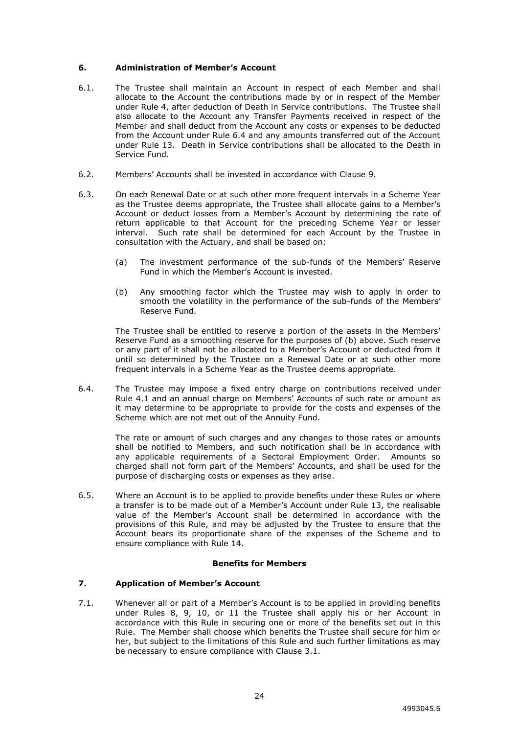## <span id="page-27-0"></span>**6. Administration of Member's Account**

- 6.1. The Trustee shall maintain an Account in respect of each Member and shall allocate to the Account the contributions made by or in respect of the Member under Rule 4, after deduction of Death in Service contributions. The Trustee shall also allocate to the Account any Transfer Payments received in respect of the Member and shall deduct from the Account any costs or expenses to be deducted from the Account under Rule 6.4 and any amounts transferred out of the Account under Rule 13. Death in Service contributions shall be allocated to the Death in Service Fund.
- 6.2. Members' Accounts shall be invested in accordance with Clause 9.
- 6.3. On each Renewal Date or at such other more frequent intervals in a Scheme Year as the Trustee deems appropriate, the Trustee shall allocate gains to a Member's Account or deduct losses from a Member's Account by determining the rate of return applicable to that Account for the preceding Scheme Year or lesser interval. Such rate shall be determined for each Account by the Trustee in consultation with the Actuary, and shall be based on:
	- (a) The investment performance of the sub-funds of the Members' Reserve Fund in which the Member's Account is invested.
	- (b) Any smoothing factor which the Trustee may wish to apply in order to smooth the volatility in the performance of the sub-funds of the Members' Reserve Fund.

The Trustee shall be entitled to reserve a portion of the assets in the Members' Reserve Fund as a smoothing reserve for the purposes of (b) above. Such reserve or any part of it shall not be allocated to a Member's Account or deducted from it until so determined by the Trustee on a Renewal Date or at such other more frequent intervals in a Scheme Year as the Trustee deems appropriate.

6.4. The Trustee may impose a fixed entry charge on contributions received under Rule 4.1 and an annual charge on Members' Accounts of such rate or amount as it may determine to be appropriate to provide for the costs and expenses of the Scheme which are not met out of the Annuity Fund.

> The rate or amount of such charges and any changes to those rates or amounts shall be notified to Members, and such notification shall be in accordance with any applicable requirements of a Sectoral Employment Order. Amounts so charged shall not form part of the Members' Accounts, and shall be used for the purpose of discharging costs or expenses as they arise.

6.5. Where an Account is to be applied to provide benefits under these Rules or where a transfer is to be made out of a Member's Account under Rule 13, the realisable value of the Member's Account shall be determined in accordance with the provisions of this Rule, and may be adjusted by the Trustee to ensure that the Account bears its proportionate share of the expenses of the Scheme and to ensure compliance with Rule 14.

#### **Benefits for Members**

#### <span id="page-27-1"></span>**7. Application of Member's Account**

7.1. Whenever all or part of a Member's Account is to be applied in providing benefits under Rules 8, 9, 10, or 11 the Trustee shall apply his or her Account in accordance with this Rule in securing one or more of the benefits set out in this Rule. The Member shall choose which benefits the Trustee shall secure for him or her, but subject to the limitations of this Rule and such further limitations as may be necessary to ensure compliance with Clause 3.1.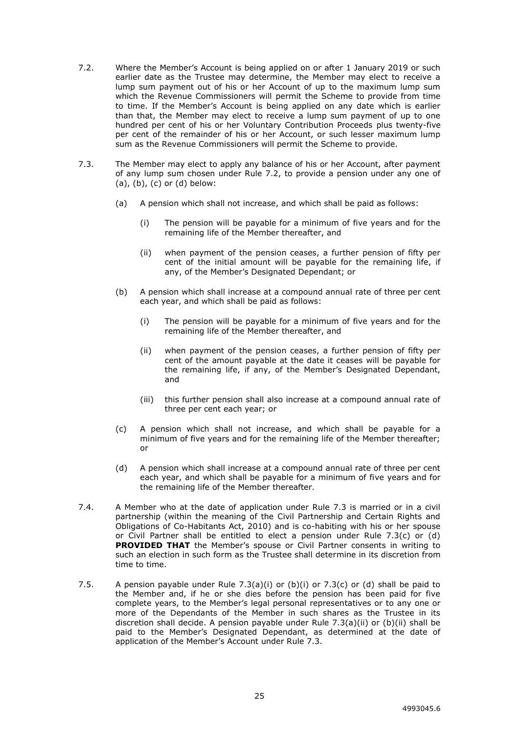- 7.2. Where the Member's Account is being applied on or after 1 January 2019 or such earlier date as the Trustee may determine, the Member may elect to receive a lump sum payment out of his or her Account of up to the maximum lump sum which the Revenue Commissioners will permit the Scheme to provide from time to time. If the Member's Account is being applied on any date which is earlier than that, the Member may elect to receive a lump sum payment of up to one hundred per cent of his or her Voluntary Contribution Proceeds plus twenty-five per cent of the remainder of his or her Account, or such lesser maximum lump sum as the Revenue Commissioners will permit the Scheme to provide.
- 7.3. The Member may elect to apply any balance of his or her Account, after payment of any lump sum chosen under Rule 7.2, to provide a pension under any one of  $(a)$ ,  $(b)$ ,  $(c)$  or  $(d)$  below:
	- (a) A pension which shall not increase, and which shall be paid as follows:
		- (i) The pension will be payable for a minimum of five years and for the remaining life of the Member thereafter, and
		- (ii) when payment of the pension ceases, a further pension of fifty per cent of the initial amount will be payable for the remaining life, if any, of the Member's Designated Dependant; or
	- (b) A pension which shall increase at a compound annual rate of three per cent each year, and which shall be paid as follows:
		- (i) The pension will be payable for a minimum of five years and for the remaining life of the Member thereafter, and
		- (ii) when payment of the pension ceases, a further pension of fifty per cent of the amount payable at the date it ceases will be payable for the remaining life, if any, of the Member's Designated Dependant, and
		- (iii) this further pension shall also increase at a compound annual rate of three per cent each year; or
	- (c) A pension which shall not increase, and which shall be payable for a minimum of five years and for the remaining life of the Member thereafter; or
	- (d) A pension which shall increase at a compound annual rate of three per cent each year, and which shall be payable for a minimum of five years and for the remaining life of the Member thereafter.
- 7.4. A Member who at the date of application under Rule 7.3 is married or in a civil partnership (within the meaning of the Civil Partnership and Certain Rights and Obligations of Co-Habitants Act, 2010) and is co-habiting with his or her spouse or Civil Partner shall be entitled to elect a pension under Rule 7.3(c) or (d) **PROVIDED THAT** the Member's spouse or Civil Partner consents in writing to such an election in such form as the Trustee shall determine in its discretion from time to time.
- 7.5. A pension payable under Rule  $7.3(a)(i)$  or  $(b)(i)$  or  $7.3(c)$  or  $(d)$  shall be paid to the Member and, if he or she dies before the pension has been paid for five complete years, to the Member's legal personal representatives or to any one or more of the Dependants of the Member in such shares as the Trustee in its discretion shall decide. A pension payable under Rule 7.3(a)(ii) or (b)(ii) shall be paid to the Member's Designated Dependant, as determined at the date of application of the Member's Account under Rule 7.3.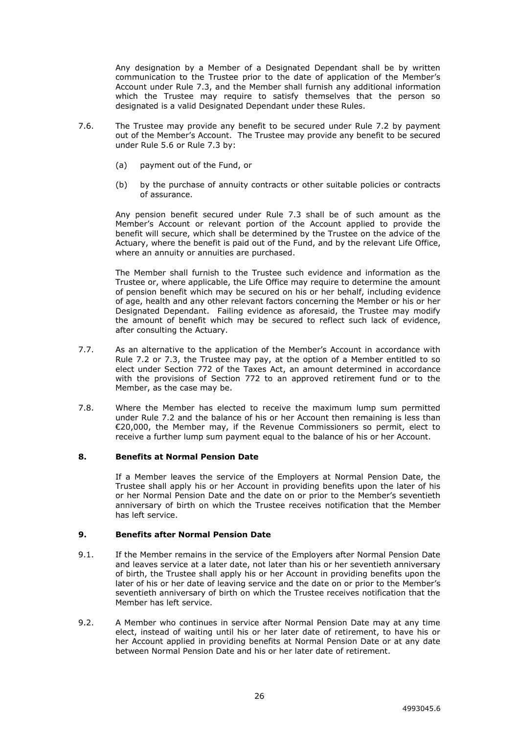Any designation by a Member of a Designated Dependant shall be by written communication to the Trustee prior to the date of application of the Member's Account under Rule 7.3, and the Member shall furnish any additional information which the Trustee may require to satisfy themselves that the person so designated is a valid Designated Dependant under these Rules.

- 7.6. The Trustee may provide any benefit to be secured under Rule 7.2 by payment out of the Member's Account. The Trustee may provide any benefit to be secured under Rule 5.6 or Rule 7.3 by:
	- (a) payment out of the Fund, or
	- (b) by the purchase of annuity contracts or other suitable policies or contracts of assurance.

Any pension benefit secured under Rule 7.3 shall be of such amount as the Member's Account or relevant portion of the Account applied to provide the benefit will secure, which shall be determined by the Trustee on the advice of the Actuary, where the benefit is paid out of the Fund, and by the relevant Life Office, where an annuity or annuities are purchased.

The Member shall furnish to the Trustee such evidence and information as the Trustee or, where applicable, the Life Office may require to determine the amount of pension benefit which may be secured on his or her behalf, including evidence of age, health and any other relevant factors concerning the Member or his or her Designated Dependant. Failing evidence as aforesaid, the Trustee may modify the amount of benefit which may be secured to reflect such lack of evidence, after consulting the Actuary.

- 7.7. As an alternative to the application of the Member's Account in accordance with Rule 7.2 or 7.3, the Trustee may pay, at the option of a Member entitled to so elect under Section 772 of the Taxes Act, an amount determined in accordance with the provisions of Section 772 to an approved retirement fund or to the Member, as the case may be.
- 7.8. Where the Member has elected to receive the maximum lump sum permitted under Rule 7.2 and the balance of his or her Account then remaining is less than €20,000, the Member may, if the Revenue Commissioners so permit, elect to receive a further lump sum payment equal to the balance of his or her Account.

#### <span id="page-29-0"></span>**8. Benefits at Normal Pension Date**

If a Member leaves the service of the Employers at Normal Pension Date, the Trustee shall apply his or her Account in providing benefits upon the later of his or her Normal Pension Date and the date on or prior to the Member's seventieth anniversary of birth on which the Trustee receives notification that the Member has left service.

# <span id="page-29-1"></span>**9. Benefits after Normal Pension Date**

- 9.1. If the Member remains in the service of the Employers after Normal Pension Date and leaves service at a later date, not later than his or her seventieth anniversary of birth, the Trustee shall apply his or her Account in providing benefits upon the later of his or her date of leaving service and the date on or prior to the Member's seventieth anniversary of birth on which the Trustee receives notification that the Member has left service.
- 9.2. A Member who continues in service after Normal Pension Date may at any time elect, instead of waiting until his or her later date of retirement, to have his or her Account applied in providing benefits at Normal Pension Date or at any date between Normal Pension Date and his or her later date of retirement.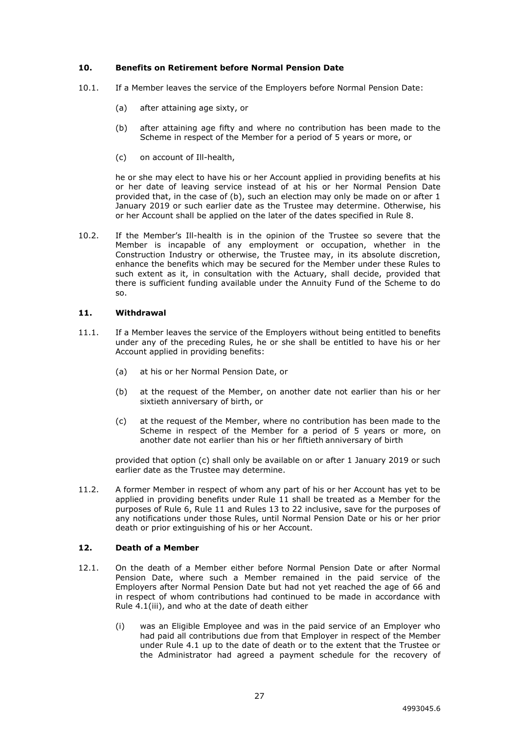## <span id="page-30-0"></span>**10. Benefits on Retirement before Normal Pension Date**

- 10.1. If a Member leaves the service of the Employers before Normal Pension Date:
	- (a) after attaining age sixty, or
	- (b) after attaining age fifty and where no contribution has been made to the Scheme in respect of the Member for a period of 5 years or more, or
	- (c) on account of Ill-health,

he or she may elect to have his or her Account applied in providing benefits at his or her date of leaving service instead of at his or her Normal Pension Date provided that, in the case of (b), such an election may only be made on or after 1 January 2019 or such earlier date as the Trustee may determine. Otherwise, his or her Account shall be applied on the later of the dates specified in Rule 8.

10.2. If the Member's Ill-health is in the opinion of the Trustee so severe that the Member is incapable of any employment or occupation, whether in the Construction Industry or otherwise, the Trustee may, in its absolute discretion, enhance the benefits which may be secured for the Member under these Rules to such extent as it, in consultation with the Actuary, shall decide, provided that there is sufficient funding available under the Annuity Fund of the Scheme to do so.

## <span id="page-30-1"></span>**11. Withdrawal**

- 11.1. If a Member leaves the service of the Employers without being entitled to benefits under any of the preceding Rules, he or she shall be entitled to have his or her Account applied in providing benefits:
	- (a) at his or her Normal Pension Date, or
	- (b) at the request of the Member, on another date not earlier than his or her sixtieth anniversary of birth, or
	- (c) at the request of the Member, where no contribution has been made to the Scheme in respect of the Member for a period of 5 years or more, on another date not earlier than his or her fiftieth anniversary of birth

provided that option (c) shall only be available on or after 1 January 2019 or such earlier date as the Trustee may determine.

11.2. A former Member in respect of whom any part of his or her Account has yet to be applied in providing benefits under Rule 11 shall be treated as a Member for the purposes of Rule 6, Rule 11 and Rules 13 to 22 inclusive, save for the purposes of any notifications under those Rules, until Normal Pension Date or his or her prior death or prior extinguishing of his or her Account.

# <span id="page-30-2"></span>**12. Death of a Member**

- 12.1. On the death of a Member either before Normal Pension Date or after Normal Pension Date, where such a Member remained in the paid service of the Employers after Normal Pension Date but had not yet reached the age of 66 and in respect of whom contributions had continued to be made in accordance with Rule 4.1(iii), and who at the date of death either
	- (i) was an Eligible Employee and was in the paid service of an Employer who had paid all contributions due from that Employer in respect of the Member under Rule 4.1 up to the date of death or to the extent that the Trustee or the Administrator had agreed a payment schedule for the recovery of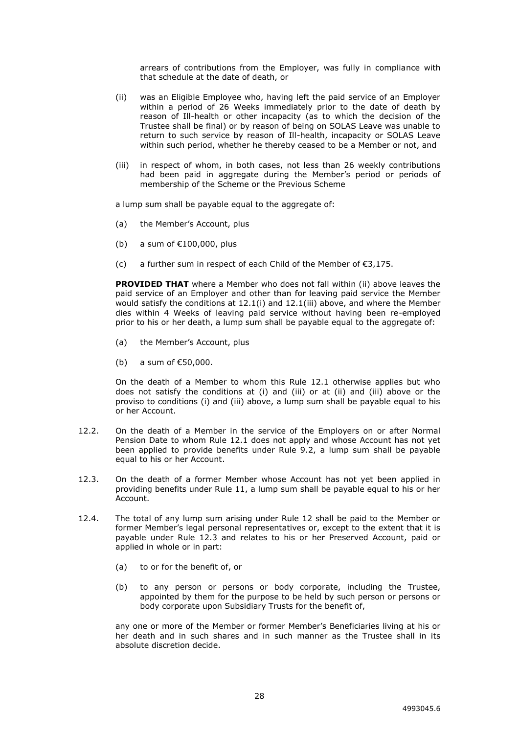arrears of contributions from the Employer, was fully in compliance with that schedule at the date of death, or

- (ii) was an Eligible Employee who, having left the paid service of an Employer within a period of 26 Weeks immediately prior to the date of death by reason of Ill-health or other incapacity (as to which the decision of the Trustee shall be final) or by reason of being on SOLAS Leave was unable to return to such service by reason of Ill-health, incapacity or SOLAS Leave within such period, whether he thereby ceased to be a Member or not, and
- (iii) in respect of whom, in both cases, not less than 26 weekly contributions had been paid in aggregate during the Member's period or periods of membership of the Scheme or the Previous Scheme

a lump sum shall be payable equal to the aggregate of:

- (a) the Member's Account, plus
- (b) a sum of  $£100,000$ , plus
- (c) a further sum in respect of each Child of the Member of  $E$ 3,175.

**PROVIDED THAT** where a Member who does not fall within (ii) above leaves the paid service of an Employer and other than for leaving paid service the Member would satisfy the conditions at 12.1(i) and 12.1(iii) above, and where the Member dies within 4 Weeks of leaving paid service without having been re-employed prior to his or her death, a lump sum shall be payable equal to the aggregate of:

- (a) the Member's Account, plus
- (b) a sum of €50,000.

On the death of a Member to whom this Rule 12.1 otherwise applies but who does not satisfy the conditions at (i) and (iii) or at (ii) and (iii) above or the proviso to conditions (i) and (iii) above, a lump sum shall be payable equal to his or her Account.

- 12.2. On the death of a Member in the service of the Employers on or after Normal Pension Date to whom Rule 12.1 does not apply and whose Account has not yet been applied to provide benefits under Rule 9.2, a lump sum shall be payable equal to his or her Account.
- 12.3. On the death of a former Member whose Account has not yet been applied in providing benefits under Rule 11, a lump sum shall be payable equal to his or her Account.
- 12.4. The total of any lump sum arising under Rule 12 shall be paid to the Member or former Member's legal personal representatives or, except to the extent that it is payable under Rule 12.3 and relates to his or her Preserved Account, paid or applied in whole or in part:
	- (a) to or for the benefit of, or
	- (b) to any person or persons or body corporate, including the Trustee, appointed by them for the purpose to be held by such person or persons or body corporate upon Subsidiary Trusts for the benefit of,

any one or more of the Member or former Member's Beneficiaries living at his or her death and in such shares and in such manner as the Trustee shall in its absolute discretion decide.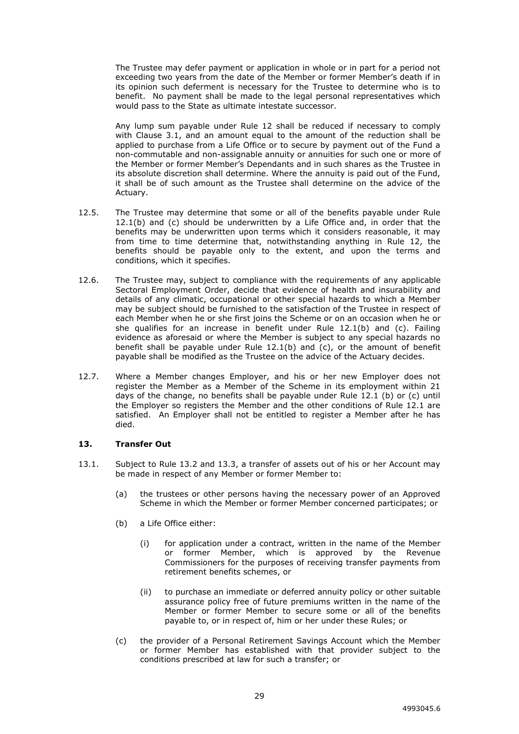The Trustee may defer payment or application in whole or in part for a period not exceeding two years from the date of the Member or former Member's death if in its opinion such deferment is necessary for the Trustee to determine who is to benefit. No payment shall be made to the legal personal representatives which would pass to the State as ultimate intestate successor.

Any lump sum payable under Rule 12 shall be reduced if necessary to comply with Clause 3.1, and an amount equal to the amount of the reduction shall be applied to purchase from a Life Office or to secure by payment out of the Fund a non-commutable and non-assignable annuity or annuities for such one or more of the Member or former Member's Dependants and in such shares as the Trustee in its absolute discretion shall determine. Where the annuity is paid out of the Fund, it shall be of such amount as the Trustee shall determine on the advice of the Actuary.

- 12.5. The Trustee may determine that some or all of the benefits payable under Rule 12.1(b) and (c) should be underwritten by a Life Office and, in order that the benefits may be underwritten upon terms which it considers reasonable, it may from time to time determine that, notwithstanding anything in Rule 12, the benefits should be payable only to the extent, and upon the terms and conditions, which it specifies.
- 12.6. The Trustee may, subject to compliance with the requirements of any applicable Sectoral Employment Order, decide that evidence of health and insurability and details of any climatic, occupational or other special hazards to which a Member may be subject should be furnished to the satisfaction of the Trustee in respect of each Member when he or she first joins the Scheme or on an occasion when he or she qualifies for an increase in benefit under Rule 12.1(b) and (c). Failing evidence as aforesaid or where the Member is subject to any special hazards no benefit shall be payable under Rule 12.1(b) and (c), or the amount of benefit payable shall be modified as the Trustee on the advice of the Actuary decides.
- 12.7. Where a Member changes Employer, and his or her new Employer does not register the Member as a Member of the Scheme in its employment within 21 days of the change, no benefits shall be payable under Rule 12.1 (b) or (c) until the Employer so registers the Member and the other conditions of Rule 12.1 are satisfied. An Employer shall not be entitled to register a Member after he has died.

## <span id="page-32-0"></span>**13. Transfer Out**

- 13.1. Subject to Rule 13.2 and 13.3, a transfer of assets out of his or her Account may be made in respect of any Member or former Member to:
	- (a) the trustees or other persons having the necessary power of an Approved Scheme in which the Member or former Member concerned participates; or
	- (b) a Life Office either:
		- (i) for application under a contract, written in the name of the Member or former Member, which is approved by the Revenue Commissioners for the purposes of receiving transfer payments from retirement benefits schemes, or
		- (ii) to purchase an immediate or deferred annuity policy or other suitable assurance policy free of future premiums written in the name of the Member or former Member to secure some or all of the benefits payable to, or in respect of, him or her under these Rules; or
	- (c) the provider of a Personal Retirement Savings Account which the Member or former Member has established with that provider subject to the conditions prescribed at law for such a transfer; or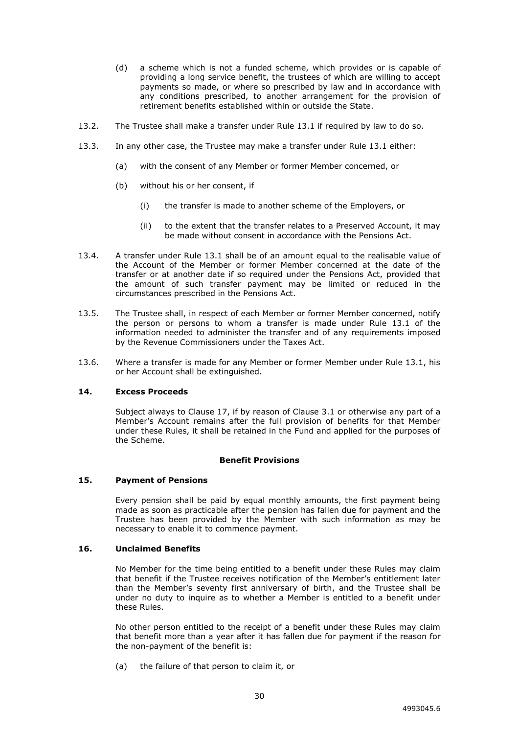- (d) a scheme which is not a funded scheme, which provides or is capable of providing a long service benefit, the trustees of which are willing to accept payments so made, or where so prescribed by law and in accordance with any conditions prescribed, to another arrangement for the provision of retirement benefits established within or outside the State.
- 13.2. The Trustee shall make a transfer under Rule 13.1 if required by law to do so.
- 13.3. In any other case, the Trustee may make a transfer under Rule 13.1 either:
	- (a) with the consent of any Member or former Member concerned, or
	- (b) without his or her consent, if
		- (i) the transfer is made to another scheme of the Employers, or
		- (ii) to the extent that the transfer relates to a Preserved Account, it may be made without consent in accordance with the Pensions Act.
- 13.4. A transfer under Rule 13.1 shall be of an amount equal to the realisable value of the Account of the Member or former Member concerned at the date of the transfer or at another date if so required under the Pensions Act, provided that the amount of such transfer payment may be limited or reduced in the circumstances prescribed in the Pensions Act.
- 13.5. The Trustee shall, in respect of each Member or former Member concerned, notify the person or persons to whom a transfer is made under Rule 13.1 of the information needed to administer the transfer and of any requirements imposed by the Revenue Commissioners under the Taxes Act.
- 13.6. Where a transfer is made for any Member or former Member under Rule 13.1, his or her Account shall be extinguished.

#### <span id="page-33-0"></span>**14. Excess Proceeds**

Subject always to Clause 17, if by reason of Clause 3.1 or otherwise any part of a Member's Account remains after the full provision of benefits for that Member under these Rules, it shall be retained in the Fund and applied for the purposes of the Scheme.

#### **Benefit Provisions**

#### <span id="page-33-1"></span>**15. Payment of Pensions**

Every pension shall be paid by equal monthly amounts, the first payment being made as soon as practicable after the pension has fallen due for payment and the Trustee has been provided by the Member with such information as may be necessary to enable it to commence payment.

#### <span id="page-33-2"></span>**16. Unclaimed Benefits**

No Member for the time being entitled to a benefit under these Rules may claim that benefit if the Trustee receives notification of the Member's entitlement later than the Member's seventy first anniversary of birth, and the Trustee shall be under no duty to inquire as to whether a Member is entitled to a benefit under these Rules.

No other person entitled to the receipt of a benefit under these Rules may claim that benefit more than a year after it has fallen due for payment if the reason for the non-payment of the benefit is:

(a) the failure of that person to claim it, or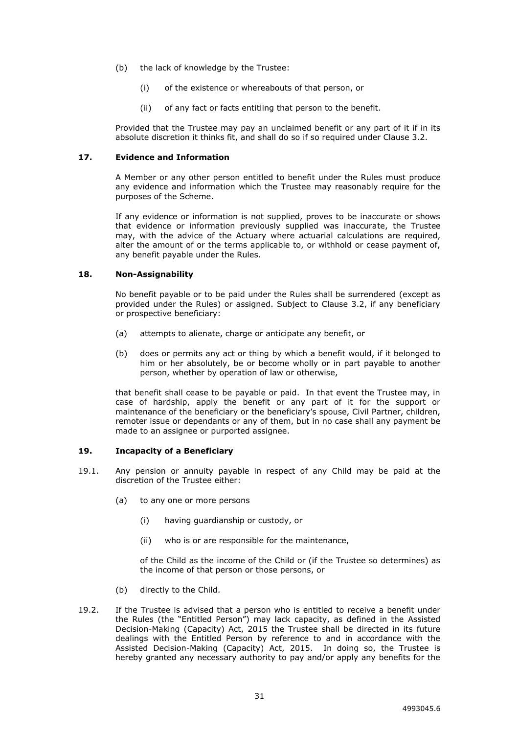- (b) the lack of knowledge by the Trustee:
	- (i) of the existence or whereabouts of that person, or
	- (ii) of any fact or facts entitling that person to the benefit.

Provided that the Trustee may pay an unclaimed benefit or any part of it if in its absolute discretion it thinks fit, and shall do so if so required under Clause 3.2.

## <span id="page-34-0"></span>**17. Evidence and Information**

A Member or any other person entitled to benefit under the Rules must produce any evidence and information which the Trustee may reasonably require for the purposes of the Scheme.

If any evidence or information is not supplied, proves to be inaccurate or shows that evidence or information previously supplied was inaccurate, the Trustee may, with the advice of the Actuary where actuarial calculations are required, alter the amount of or the terms applicable to, or withhold or cease payment of, any benefit payable under the Rules.

## <span id="page-34-1"></span>**18. Non-Assignability**

No benefit payable or to be paid under the Rules shall be surrendered (except as provided under the Rules) or assigned. Subject to Clause 3.2, if any beneficiary or prospective beneficiary:

- (a) attempts to alienate, charge or anticipate any benefit, or
- (b) does or permits any act or thing by which a benefit would, if it belonged to him or her absolutely, be or become wholly or in part payable to another person, whether by operation of law or otherwise,

that benefit shall cease to be payable or paid. In that event the Trustee may, in case of hardship, apply the benefit or any part of it for the support or maintenance of the beneficiary or the beneficiary's spouse, Civil Partner, children, remoter issue or dependants or any of them, but in no case shall any payment be made to an assignee or purported assignee.

# <span id="page-34-2"></span>**19. Incapacity of a Beneficiary**

- 19.1. Any pension or annuity payable in respect of any Child may be paid at the discretion of the Trustee either:
	- (a) to any one or more persons
		- (i) having guardianship or custody, or
		- (ii) who is or are responsible for the maintenance,

of the Child as the income of the Child or (if the Trustee so determines) as the income of that person or those persons, or

- (b) directly to the Child.
- 19.2. If the Trustee is advised that a person who is entitled to receive a benefit under the Rules (the "Entitled Person") may lack capacity, as defined in the Assisted Decision-Making (Capacity) Act, 2015 the Trustee shall be directed in its future dealings with the Entitled Person by reference to and in accordance with the Assisted Decision-Making (Capacity) Act, 2015. In doing so, the Trustee is hereby granted any necessary authority to pay and/or apply any benefits for the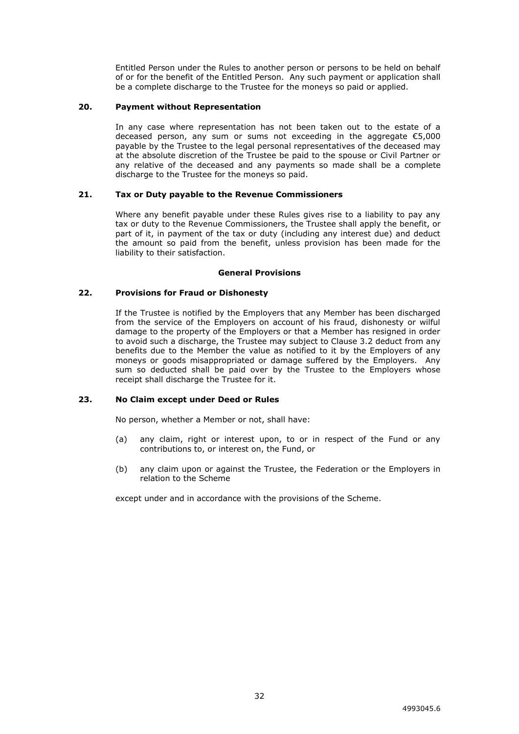Entitled Person under the Rules to another person or persons to be held on behalf of or for the benefit of the Entitled Person. Any such payment or application shall be a complete discharge to the Trustee for the moneys so paid or applied.

#### <span id="page-35-0"></span>**20. Payment without Representation**

In any case where representation has not been taken out to the estate of a deceased person, any sum or sums not exceeding in the aggregate €5,000 payable by the Trustee to the legal personal representatives of the deceased may at the absolute discretion of the Trustee be paid to the spouse or Civil Partner or any relative of the deceased and any payments so made shall be a complete discharge to the Trustee for the moneys so paid.

#### <span id="page-35-1"></span>**21. Tax or Duty payable to the Revenue Commissioners**

Where any benefit payable under these Rules gives rise to a liability to pay any tax or duty to the Revenue Commissioners, the Trustee shall apply the benefit, or part of it, in payment of the tax or duty (including any interest due) and deduct the amount so paid from the benefit, unless provision has been made for the liability to their satisfaction.

#### **General Provisions**

#### <span id="page-35-2"></span>**22. Provisions for Fraud or Dishonesty**

If the Trustee is notified by the Employers that any Member has been discharged from the service of the Employers on account of his fraud, dishonesty or wilful damage to the property of the Employers or that a Member has resigned in order to avoid such a discharge, the Trustee may subject to Clause 3.2 deduct from any benefits due to the Member the value as notified to it by the Employers of any moneys or goods misappropriated or damage suffered by the Employers. Any sum so deducted shall be paid over by the Trustee to the Employers whose receipt shall discharge the Trustee for it.

#### <span id="page-35-3"></span>**23. No Claim except under Deed or Rules**

No person, whether a Member or not, shall have:

- (a) any claim, right or interest upon, to or in respect of the Fund or any contributions to, or interest on, the Fund, or
- (b) any claim upon or against the Trustee, the Federation or the Employers in relation to the Scheme

except under and in accordance with the provisions of the Scheme.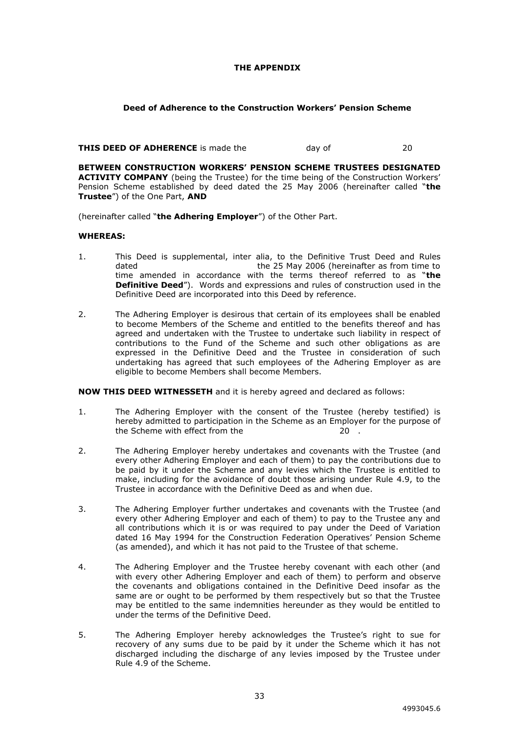## **THE APPENDIX**

## **Deed of Adherence to the Construction Workers' Pension Scheme**

#### **THIS DEED OF ADHERENCE** is made the day of 20

**BETWEEN CONSTRUCTION WORKERS' PENSION SCHEME TRUSTEES DESIGNATED ACTIVITY COMPANY** (being the Trustee) for the time being of the Construction Workers' Pension Scheme established by deed dated the 25 May 2006 (hereinafter called "**the Trustee**") of the One Part, **AND**

(hereinafter called "**the Adhering Employer**") of the Other Part.

# **WHEREAS:**

- 1. This Deed is supplemental, inter alia, to the Definitive Trust Deed and Rules<br>dated the 25 May 2006 (hereinafter as from time to the 25 May 2006 (hereinafter as from time to time amended in accordance with the terms thereof referred to as "**the Definitive Deed**"). Words and expressions and rules of construction used in the Definitive Deed are incorporated into this Deed by reference.
- 2. The Adhering Employer is desirous that certain of its employees shall be enabled to become Members of the Scheme and entitled to the benefits thereof and has agreed and undertaken with the Trustee to undertake such liability in respect of contributions to the Fund of the Scheme and such other obligations as are expressed in the Definitive Deed and the Trustee in consideration of such undertaking has agreed that such employees of the Adhering Employer as are eligible to become Members shall become Members.

**NOW THIS DEED WITNESSETH** and it is hereby agreed and declared as follows:

- 1. The Adhering Employer with the consent of the Trustee (hereby testified) is hereby admitted to participation in the Scheme as an Employer for the purpose of the Scheme with effect from the 20 .
- 2. The Adhering Employer hereby undertakes and covenants with the Trustee (and every other Adhering Employer and each of them) to pay the contributions due to be paid by it under the Scheme and any levies which the Trustee is entitled to make, including for the avoidance of doubt those arising under Rule 4.9, to the Trustee in accordance with the Definitive Deed as and when due.
- 3. The Adhering Employer further undertakes and covenants with the Trustee (and every other Adhering Employer and each of them) to pay to the Trustee any and all contributions which it is or was required to pay under the Deed of Variation dated 16 May 1994 for the Construction Federation Operatives' Pension Scheme (as amended), and which it has not paid to the Trustee of that scheme.
- 4. The Adhering Employer and the Trustee hereby covenant with each other (and with every other Adhering Employer and each of them) to perform and observe the covenants and obligations contained in the Definitive Deed insofar as the same are or ought to be performed by them respectively but so that the Trustee may be entitled to the same indemnities hereunder as they would be entitled to under the terms of the Definitive Deed.
- 5. The Adhering Employer hereby acknowledges the Trustee's right to sue for recovery of any sums due to be paid by it under the Scheme which it has not discharged including the discharge of any levies imposed by the Trustee under Rule 4.9 of the Scheme.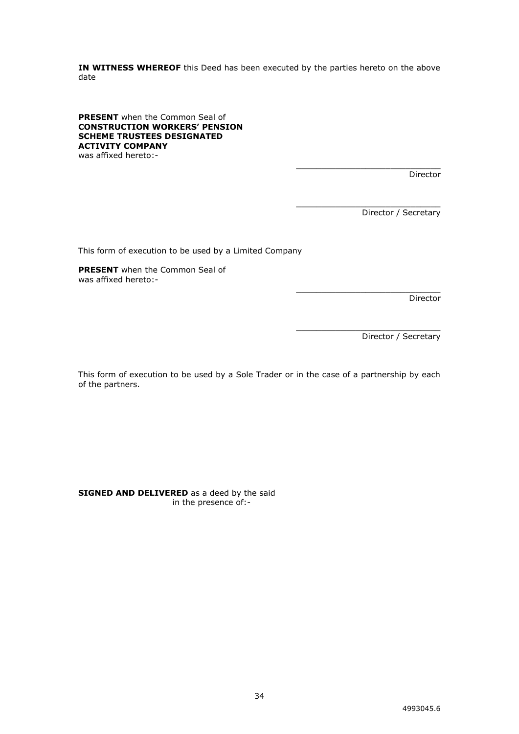**IN WITNESS WHEREOF** this Deed has been executed by the parties hereto on the above date

**PRESENT** when the Common Seal of **CONSTRUCTION WORKERS' PENSION SCHEME TRUSTEES DESIGNATED ACTIVITY COMPANY** was affixed hereto:-

> \_\_\_\_\_\_\_\_\_\_\_\_\_\_\_\_\_\_\_\_\_\_\_\_\_\_\_\_\_ Director

> > Director / Secretary

\_\_\_\_\_\_\_\_\_\_\_\_\_\_\_\_\_\_\_\_\_\_\_\_\_\_\_\_\_

\_\_\_\_\_\_\_\_\_\_\_\_\_\_\_\_\_\_\_\_\_\_\_\_\_\_\_\_\_

\_\_\_\_\_\_\_\_\_\_\_\_\_\_\_\_\_\_\_\_\_\_\_\_\_\_\_\_\_

This form of execution to be used by a Limited Company

**PRESENT** when the Common Seal of was affixed hereto:-

Director

Director / Secretary

This form of execution to be used by a Sole Trader or in the case of a partnership by each of the partners.

**SIGNED AND DELIVERED** as a deed by the said in the presence of:-